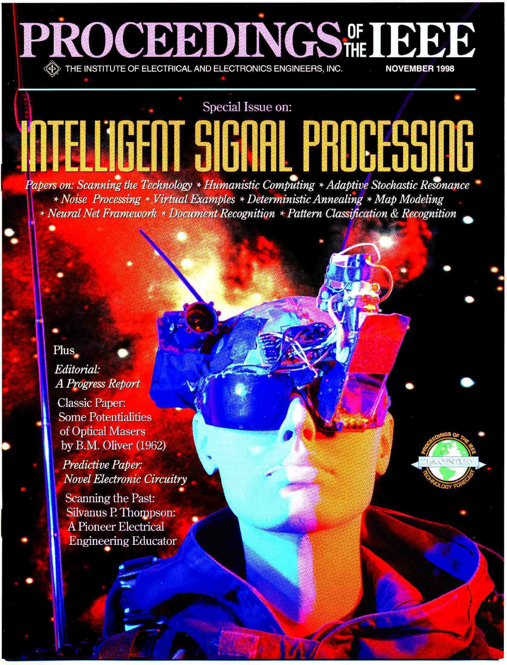PROCEEDINGS OF IEEE THE INSTITUTE OF ELECTRICAL AND ELECTRONICS ENGINEERS, INC. **NOVEMBER 1998** 

Special Issue on: MELIGHT SGM PRISESI Papers on: Scanning the Technology \* Humanistic Computing \* Adaptive Stochastic Resonance

\* Noise Processing \* Virtual Examples \* Deterministic Annealing \* Map Modeling \* Neural Net Framework \* Document Recognition \* Pattern Classification & Recognition

## Plus\_

Editorial: A Progress Report

**Classic Paper: Some Potentialities** of Optical Masers by B.M. Oliver (1962)

Predictive Paper: **Novel Electronic Circuitry** 

**Scanning the Past:** Silvanus P. Thompson: **A Pioneer Electrical Engineering Educator**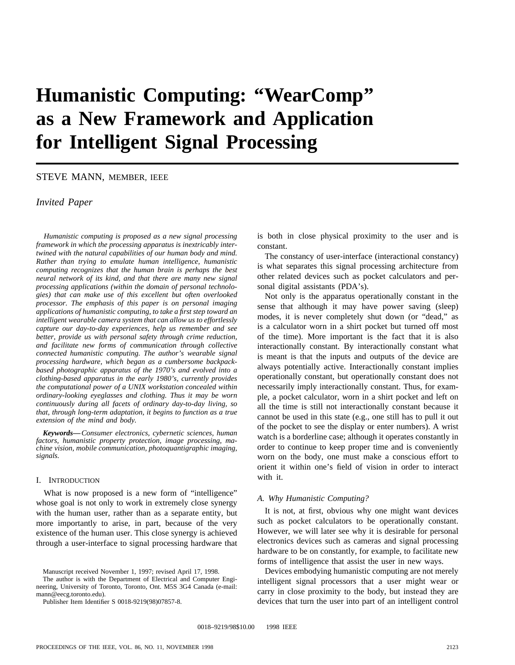# **Humanistic Computing: "WearComp" as a New Framework and Application for Intelligent Signal Processing**

#### STEVE MANN, MEMBER, IEEE

*Invited Paper*

*Humanistic computing is proposed as a new signal processing framework in which the processing apparatus is inextricably intertwined with the natural capabilities of our human body and mind. Rather than trying to emulate human intelligence, humanistic computing recognizes that the human brain is perhaps the best neural network of its kind, and that there are many new signal processing applications (within the domain of personal technologies) that can make use of this excellent but often overlooked processor. The emphasis of this paper is on personal imaging applications of humanistic computing, to take a first step toward an intelligent wearable camera system that can allow us to effortlessly capture our day-to-day experiences, help us remember and see better, provide us with personal safety through crime reduction, and facilitate new forms of communication through collective connected humanistic computing. The author's wearable signal processing hardware, which began as a cumbersome backpackbased photographic apparatus of the 1970's and evolved into a clothing-based apparatus in the early 1980's, currently provides the computational power of a UNIX workstation concealed within ordinary-looking eyeglasses and clothing. Thus it may be worn continuously during all facets of ordinary day-to-day living, so that, through long-term adaptation, it begins to function as a true extension of the mind and body.*

*Keywords—Consumer electronics, cybernetic sciences, human factors, humanistic property protection, image processing, machine vision, mobile communication, photoquantigraphic imaging, signals.*

#### I. INTRODUCTION

What is now proposed is a new form of "intelligence" whose goal is not only to work in extremely close synergy with the human user, rather than as a separate entity, but more importantly to arise, in part, because of the very existence of the human user. This close synergy is achieved through a user-interface to signal processing hardware that

The author is with the Department of Electrical and Computer Engineering, University of Toronto, Toronto, Ont. M5S 3G4 Canada (e-mail: mann@eecg.toronto.edu).

Publisher Item Identifier S 0018-9219(98)07857-8.

is both in close physical proximity to the user and is constant.

The constancy of user-interface (interactional constancy) is what separates this signal processing architecture from other related devices such as pocket calculators and personal digital assistants (PDA's).

Not only is the apparatus operationally constant in the sense that although it may have power saving (sleep) modes, it is never completely shut down (or "dead," as is a calculator worn in a shirt pocket but turned off most of the time). More important is the fact that it is also interactionally constant. By interactionally constant what is meant is that the inputs and outputs of the device are always potentially active. Interactionally constant implies operationally constant, but operationally constant does not necessarily imply interactionally constant. Thus, for example, a pocket calculator, worn in a shirt pocket and left on all the time is still not interactionally constant because it cannot be used in this state (e.g., one still has to pull it out of the pocket to see the display or enter numbers). A wrist watch is a borderline case; although it operates constantly in order to continue to keep proper time and is conveniently worn on the body, one must make a conscious effort to orient it within one's field of vision in order to interact with it.

#### *A. Why Humanistic Computing?*

It is not, at first, obvious why one might want devices such as pocket calculators to be operationally constant. However, we will later see why it is desirable for personal electronics devices such as cameras and signal processing hardware to be on constantly, for example, to facilitate new forms of intelligence that assist the user in new ways.

Devices embodying humanistic computing are not merely intelligent signal processors that a user might wear or carry in close proximity to the body, but instead they are devices that turn the user into part of an intelligent control

Manuscript received November 1, 1997; revised April 17, 1998.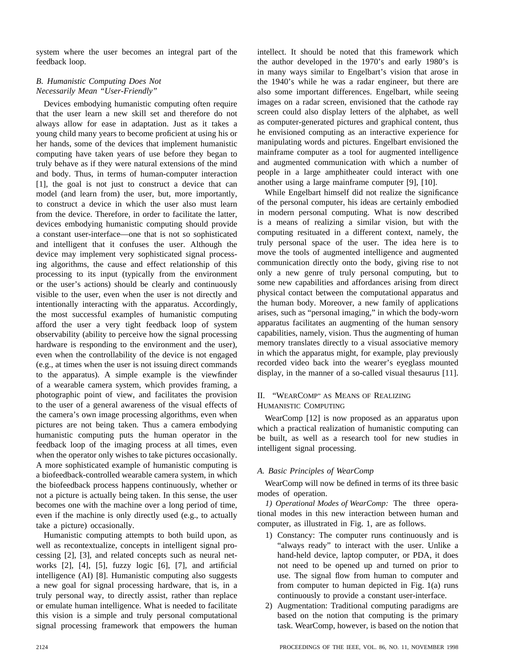system where the user becomes an integral part of the feedback loop.

## *B. Humanistic Computing Does Not Necessarily Mean "User-Friendly"*

Devices embodying humanistic computing often require that the user learn a new skill set and therefore do not always allow for ease in adaptation. Just as it takes a young child many years to become proficient at using his or her hands, some of the devices that implement humanistic computing have taken years of use before they began to truly behave as if they were natural extensions of the mind and body. Thus, in terms of human-computer interaction [1], the goal is not just to construct a device that can model (and learn from) the user, but, more importantly, to construct a device in which the user also must learn from the device. Therefore, in order to facilitate the latter, devices embodying humanistic computing should provide a constant user-interface—one that is not so sophisticated and intelligent that it confuses the user. Although the device may implement very sophisticated signal processing algorithms, the cause and effect relationship of this processing to its input (typically from the environment or the user's actions) should be clearly and continuously visible to the user, even when the user is not directly and intentionally interacting with the apparatus. Accordingly, the most successful examples of humanistic computing afford the user a very tight feedback loop of system observability (ability to perceive how the signal processing hardware is responding to the environment and the user), even when the controllability of the device is not engaged (e.g., at times when the user is not issuing direct commands to the apparatus). A simple example is the viewfinder of a wearable camera system, which provides framing, a photographic point of view, and facilitates the provision to the user of a general awareness of the visual effects of the camera's own image processing algorithms, even when pictures are not being taken. Thus a camera embodying humanistic computing puts the human operator in the feedback loop of the imaging process at all times, even when the operator only wishes to take pictures occasionally. A more sophisticated example of humanistic computing is a biofeedback-controlled wearable camera system, in which the biofeedback process happens continuously, whether or not a picture is actually being taken. In this sense, the user becomes one with the machine over a long period of time, even if the machine is only directly used (e.g., to actually take a picture) occasionally.

Humanistic computing attempts to both build upon, as well as recontextualize, concepts in intelligent signal processing [2], [3], and related concepts such as neural networks [2], [4], [5], fuzzy logic [6], [7], and artificial intelligence (AI) [8]. Humanistic computing also suggests a new goal for signal processing hardware, that is, in a truly personal way, to directly assist, rather than replace or emulate human intelligence. What is needed to facilitate this vision is a simple and truly personal computational signal processing framework that empowers the human intellect. It should be noted that this framework which the author developed in the 1970's and early 1980's is in many ways similar to Engelbart's vision that arose in the 1940's while he was a radar engineer, but there are also some important differences. Engelbart, while seeing images on a radar screen, envisioned that the cathode ray screen could also display letters of the alphabet, as well as computer-generated pictures and graphical content, thus he envisioned computing as an interactive experience for manipulating words and pictures. Engelbart envisioned the mainframe computer as a tool for augmented intelligence and augmented communication with which a number of people in a large amphitheater could interact with one another using a large mainframe computer [9], [10].

While Engelbart himself did not realize the significance of the personal computer, his ideas are certainly embodied in modern personal computing. What is now described is a means of realizing a similar vision, but with the computing resituated in a different context, namely, the truly personal space of the user. The idea here is to move the tools of augmented intelligence and augmented communication directly onto the body, giving rise to not only a new genre of truly personal computing, but to some new capabilities and affordances arising from direct physical contact between the computational apparatus and the human body. Moreover, a new family of applications arises, such as "personal imaging," in which the body-worn apparatus facilitates an augmenting of the human sensory capabilities, namely, vision. Thus the augmenting of human memory translates directly to a visual associative memory in which the apparatus might, for example, play previously recorded video back into the wearer's eyeglass mounted display, in the manner of a so-called visual thesaurus [11].

## II. "WEARCOMP" AS MEANS OF REALIZING HUMANISTIC COMPUTING

WearComp [12] is now proposed as an apparatus upon which a practical realization of humanistic computing can be built, as well as a research tool for new studies in intelligent signal processing.

## *A. Basic Principles of WearComp*

WearComp will now be defined in terms of its three basic modes of operation.

*1) Operational Modes of WearComp:* The three operational modes in this new interaction between human and computer, as illustrated in Fig. 1, are as follows.

- 1) Constancy: The computer runs continuously and is "always ready" to interact with the user. Unlike a hand-held device, laptop computer, or PDA, it does not need to be opened up and turned on prior to use. The signal flow from human to computer and from computer to human depicted in Fig. 1(a) runs continuously to provide a constant user-interface.
- 2) Augmentation: Traditional computing paradigms are based on the notion that computing is the primary task. WearComp, however, is based on the notion that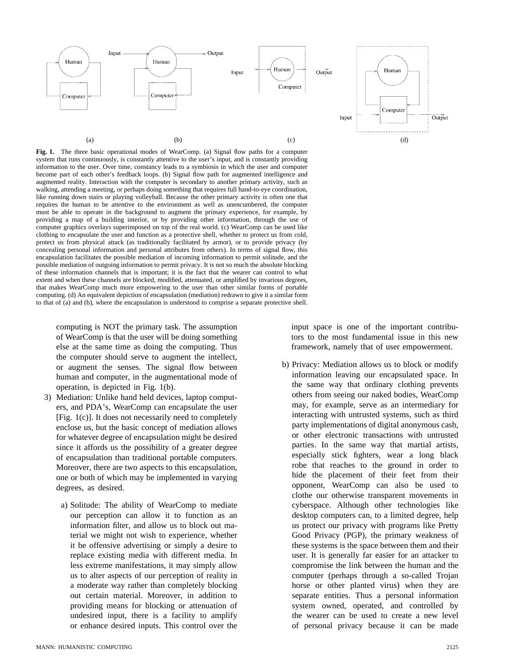

Fig. 1. The three basic operational modes of WearComp. (a) Signal flow paths for a computer system that runs continuously, is constantly attentive to the user's input, and is constantly providing information to the user. Over time, constancy leads to a symbiosis in which the user and computer become part of each other's feedback loops. (b) Signal flow path for augmented intelligence and augmented reality. Interaction with the computer is secondary to another primary activity, such as walking, attending a meeting, or perhaps doing something that requires full hand-to-eye coordination, like running down stairs or playing volleyball. Because the other primary activity is often one that requires the human to be attentive to the environment as well as unencumbered, the computer must be able to operate in the background to augment the primary experience, for example, by providing a map of a building interior, or by providing other information, through the use of computer graphics overlays superimposed on top of the real world. (c) WearComp can be used like clothing to encapsulate the user and function as a protective shell, whether to protect us from cold, protect us from physical attack (as traditionally facilitated by armor), or to provide privacy (by concealing personal information and personal attributes from others). In terms of signal flow, this encapsulation facilitates the possible mediation of incoming information to permit solitude, and the possible mediation of outgoing information to permit privacy. It is not so much the absolute blocking of these information channels that is important; it is the fact that the wearer can control to what extent and when these channels are blocked, modified, attenuated, or amplified by invarious degrees, that makes WearComp much more empowering to the user than other similar forms of portable computing. (d) An equivalent depiction of encapsulation (mediation) redrawn to give it a similar form to that of (a) and (b), where the encapsulation is understood to comprise a separate protective shell.

computing is NOT the primary task. The assumption of WearComp is that the user will be doing something else at the same time as doing the computing. Thus the computer should serve to augment the intellect, or augment the senses. The signal flow between human and computer, in the augmentational mode of operation, is depicted in Fig. 1(b).

- 3) Mediation: Unlike hand held devices, laptop computers, and PDA's, WearComp can encapsulate the user [Fig. 1(c)]. It does not necessarily need to completely enclose us, but the basic concept of mediation allows for whatever degree of encapsulation might be desired since it affords us the possibility of a greater degree of encapsulation than traditional portable computers. Moreover, there are two aspects to this encapsulation, one or both of which may be implemented in varying degrees, as desired.
	- a) Solitude: The ability of WearComp to mediate our perception can allow it to function as an information filter, and allow us to block out material we might not wish to experience, whether it be offensive advertising or simply a desire to replace existing media with different media. In less extreme manifestations, it may simply allow us to alter aspects of our perception of reality in a moderate way rather than completely blocking out certain material. Moreover, in addition to providing means for blocking or attenuation of undesired input, there is a facility to amplify or enhance desired inputs. This control over the

input space is one of the important contributors to the most fundamental issue in this new framework, namely that of user empowerment.

b) Privacy: Mediation allows us to block or modify information leaving our encapsulated space. In the same way that ordinary clothing prevents others from seeing our naked bodies, WearComp may, for example, serve as an intermediary for interacting with untrusted systems, such as third party implementations of digital anonymous cash, or other electronic transactions with untrusted parties. In the same way that martial artists, especially stick fighters, wear a long black robe that reaches to the ground in order to hide the placement of their feet from their opponent, WearComp can also be used to clothe our otherwise transparent movements in cyberspace. Although other technologies like desktop computers can, to a limited degree, help us protect our privacy with programs like Pretty Good Privacy (PGP), the primary weakness of these systems is the space between them and their user. It is generally far easier for an attacker to compromise the link between the human and the computer (perhaps through a so-called Trojan horse or other planted virus) when they are separate entities. Thus a personal information system owned, operated, and controlled by the wearer can be used to create a new level of personal privacy because it can be made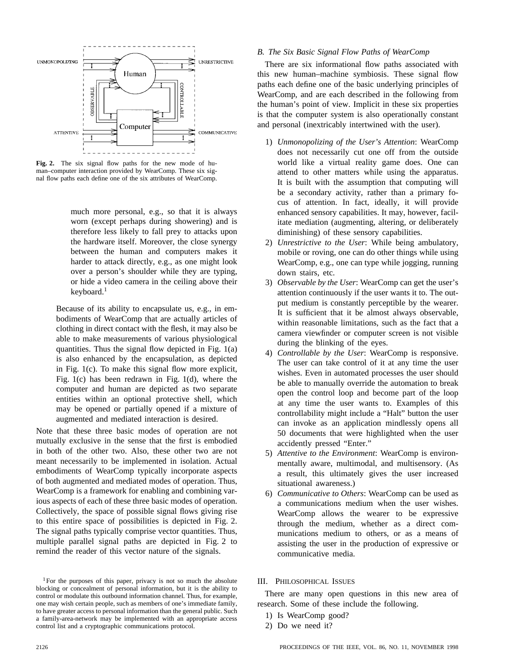

**Fig. 2.** The six signal flow paths for the new mode of human–computer interaction provided by WearComp. These six signal flow paths each define one of the six attributes of WearComp.

much more personal, e.g., so that it is always worn (except perhaps during showering) and is therefore less likely to fall prey to attacks upon the hardware itself. Moreover, the close synergy between the human and computers makes it harder to attack directly, e.g., as one might look over a person's shoulder while they are typing, or hide a video camera in the ceiling above their keyboard.<sup>1</sup>

Because of its ability to encapsulate us, e.g., in embodiments of WearComp that are actually articles of clothing in direct contact with the flesh, it may also be able to make measurements of various physiological quantities. Thus the signal flow depicted in Fig. 1(a) is also enhanced by the encapsulation, as depicted in Fig. 1(c). To make this signal flow more explicit, Fig. 1(c) has been redrawn in Fig. 1(d), where the computer and human are depicted as two separate entities within an optional protective shell, which may be opened or partially opened if a mixture of augmented and mediated interaction is desired.

Note that these three basic modes of operation are not mutually exclusive in the sense that the first is embodied in both of the other two. Also, these other two are not meant necessarily to be implemented in isolation. Actual embodiments of WearComp typically incorporate aspects of both augmented and mediated modes of operation. Thus, WearComp is a framework for enabling and combining various aspects of each of these three basic modes of operation. Collectively, the space of possible signal flows giving rise to this entire space of possibilities is depicted in Fig. 2. The signal paths typically comprise vector quantities. Thus, multiple parallel signal paths are depicted in Fig. 2 to remind the reader of this vector nature of the signals.

#### *B. The Six Basic Signal Flow Paths of WearComp*

There are six informational flow paths associated with this new human–machine symbiosis. These signal flow paths each define one of the basic underlying principles of WearComp, and are each described in the following from the human's point of view. Implicit in these six properties is that the computer system is also operationally constant and personal (inextricably intertwined with the user).

- 1) *Unmonopolizing of the User's Attention*: WearComp does not necessarily cut one off from the outside world like a virtual reality game does. One can attend to other matters while using the apparatus. It is built with the assumption that computing will be a secondary activity, rather than a primary focus of attention. In fact, ideally, it will provide enhanced sensory capabilities. It may, however, facilitate mediation (augmenting, altering, or deliberately diminishing) of these sensory capabilities.
- 2) *Unrestrictive to the User*: While being ambulatory, mobile or roving, one can do other things while using WearComp, e.g., one can type while jogging, running down stairs, etc.
- 3) *Observable by the User*: WearComp can get the user's attention continuously if the user wants it to. The output medium is constantly perceptible by the wearer. It is sufficient that it be almost always observable, within reasonable limitations, such as the fact that a camera viewfinder or computer screen is not visible during the blinking of the eyes.
- 4) *Controllable by the User*: WearComp is responsive. The user can take control of it at any time the user wishes. Even in automated processes the user should be able to manually override the automation to break open the control loop and become part of the loop at any time the user wants to. Examples of this controllability might include a "Halt" button the user can invoke as an application mindlessly opens all 50 documents that were highlighted when the user accidently pressed "Enter."
- 5) *Attentive to the Environment*: WearComp is environmentally aware, multimodal, and multisensory. (As a result, this ultimately gives the user increased situational awareness.)
- 6) *Communicative to Others*: WearComp can be used as a communications medium when the user wishes. WearComp allows the wearer to be expressive through the medium, whether as a direct communications medium to others, or as a means of assisting the user in the production of expressive or communicative media.

## III. PHILOSOPHICAL ISSUES

There are many open questions in this new area of research. Some of these include the following.

- 1) Is WearComp good?
- 2) Do we need it?

<sup>&</sup>lt;sup>1</sup>For the purposes of this paper, privacy is not so much the absolute blocking or concealment of personal information, but it is the ability to control or modulate this outbound information channel. Thus, for example, one may wish certain people, such as members of one's immediate family, to have greater access to personal information than the general public. Such a family-area-network may be implemented with an appropriate access control list and a cryptographic communications protocol.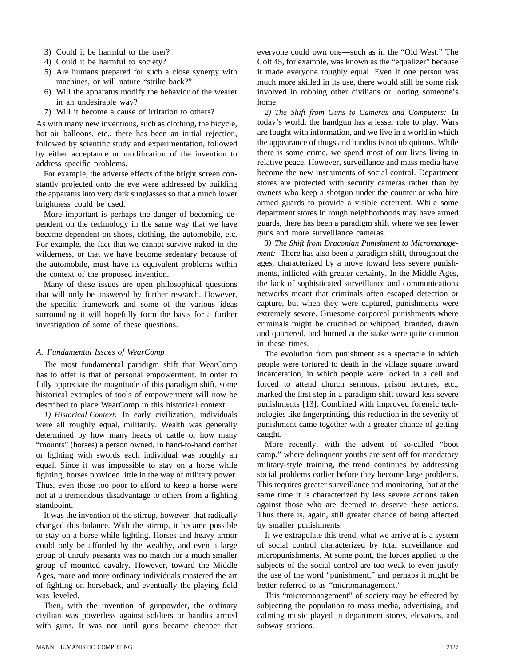- 3) Could it be harmful to the user?
- 4) Could it be harmful to society?
- 5) Are humans prepared for such a close synergy with machines, or will nature "strike back?"
- 6) Will the apparatus modify the behavior of the wearer in an undesirable way?
- 7) Will it become a cause of irritation to others?

As with many new inventions, such as clothing, the bicycle, hot air balloons, etc., there has been an initial rejection, followed by scientific study and experimentation, followed by either acceptance or modification of the invention to address specific problems.

For example, the adverse effects of the bright screen constantly projected onto the eye were addressed by building the apparatus into very dark sunglasses so that a much lower brightness could be used.

More important is perhaps the danger of becoming dependent on the technology in the same way that we have become dependent on shoes, clothing, the automobile, etc. For example, the fact that we cannot survive naked in the wilderness, or that we have become sedentary because of the automobile, must have its equivalent problems within the context of the proposed invention.

Many of these issues are open philosophical questions that will only be answered by further research. However, the specific framework and some of the various ideas surrounding it will hopefully form the basis for a further investigation of some of these questions.

#### *A. Fundamental Issues of WearComp*

The most fundamental paradigm shift that WearComp has to offer is that of personal empowerment. In order to fully appreciate the magnitude of this paradigm shift, some historical examples of tools of empowerment will now be described to place WearComp in this historical context.

*1) Historical Context:* In early civilization, individuals were all roughly equal, militarily. Wealth was generally determined by how many heads of cattle or how many "mounts" (horses) a person owned. In hand-to-hand combat or fighting with swords each individual was roughly an equal. Since it was impossible to stay on a horse while fighting, horses provided little in the way of military power. Thus, even those too poor to afford to keep a horse were not at a tremendous disadvantage to others from a fighting standpoint.

It was the invention of the stirrup, however, that radically changed this balance. With the stirrup, it became possible to stay on a horse while fighting. Horses and heavy armor could only be afforded by the wealthy, and even a large group of unruly peasants was no match for a much smaller group of mounted cavalry. However, toward the Middle Ages, more and more ordinary individuals mastered the art of fighting on horseback, and eventually the playing field was leveled.

Then, with the invention of gunpowder, the ordinary civilian was powerless against soldiers or bandits armed with guns. It was not until guns became cheaper that everyone could own one—such as in the "Old West." The Colt 45, for example, was known as the "equalizer" because it made everyone roughly equal. Even if one person was much more skilled in its use, there would still be some risk involved in robbing other civilians or looting someone's home.

*2) The Shift from Guns to Cameras and Computers:* In today's world, the handgun has a lesser role to play. Wars are fought with information, and we live in a world in which the appearance of thugs and bandits is not ubiquitous. While there is some crime, we spend most of our lives living in relative peace. However, surveillance and mass media have become the new instruments of social control. Department stores are protected with security cameras rather than by owners who keep a shotgun under the counter or who hire armed guards to provide a visible deterrent. While some department stores in rough neighborhoods may have armed guards, there has been a paradigm shift where we see fewer guns and more surveillance cameras.

*3) The Shift from Draconian Punishment to Micromanagement:* There has also been a paradigm shift, throughout the ages, characterized by a move toward less severe punishments, inflicted with greater certainty. In the Middle Ages, the lack of sophisticated surveillance and communications networks meant that criminals often escaped detection or capture, but when they were captured, punishments were extremely severe. Gruesome corporeal punishments where criminals might be crucified or whipped, branded, drawn and quartered, and burned at the stake were quite common in these times.

The evolution from punishment as a spectacle in which people were tortured to death in the village square toward incarceration, in which people were locked in a cell and forced to attend church sermons, prison lectures, etc., marked the first step in a paradigm shift toward less severe punishments [13]. Combined with improved forensic technologies like fingerprinting, this reduction in the severity of punishment came together with a greater chance of getting caught.

More recently, with the advent of so-called "boot camp," where delinquent youths are sent off for mandatory military-style training, the trend continues by addressing social problems earlier before they become large problems. This requires greater surveillance and monitoring, but at the same time it is characterized by less severe actions taken against those who are deemed to deserve these actions. Thus there is, again, still greater chance of being affected by smaller punishments.

If we extrapolate this trend, what we arrive at is a system of social control characterized by total surveillance and micropunishments. At some point, the forces applied to the subjects of the social control are too weak to even justify the use of the word "punishment," and perhaps it might be better referred to as "micromanagement."

This "micromanagement" of society may be effected by subjecting the population to mass media, advertising, and calming music played in department stores, elevators, and subway stations.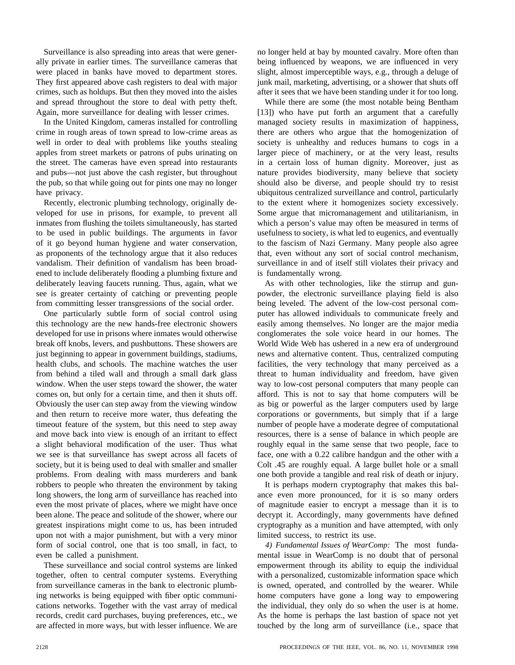Surveillance is also spreading into areas that were generally private in earlier times. The surveillance cameras that were placed in banks have moved to department stores. They first appeared above cash registers to deal with major crimes, such as holdups. But then they moved into the aisles and spread throughout the store to deal with petty theft. Again, more surveillance for dealing with lesser crimes.

In the United Kingdom, cameras installed for controlling crime in rough areas of town spread to low-crime areas as well in order to deal with problems like youths stealing apples from street markets or patrons of pubs urinating on the street. The cameras have even spread into restaurants and pubs—not just above the cash register, but throughout the pub, so that while going out for pints one may no longer have privacy.

Recently, electronic plumbing technology, originally developed for use in prisons, for example, to prevent all inmates from flushing the toilets simultaneously, has started to be used in public buildings. The arguments in favor of it go beyond human hygiene and water conservation, as proponents of the technology argue that it also reduces vandalism. Their definition of vandalism has been broadened to include deliberately flooding a plumbing fixture and deliberately leaving faucets running. Thus, again, what we see is greater certainty of catching or preventing people from committing lesser transgressions of the social order.

One particularly subtle form of social control using this technology are the new hands-free electronic showers developed for use in prisons where inmates would otherwise break off knobs, levers, and pushbuttons. These showers are just beginning to appear in government buildings, stadiums, health clubs, and schools. The machine watches the user from behind a tiled wall and through a small dark glass window. When the user steps toward the shower, the water comes on, but only for a certain time, and then it shuts off. Obviously the user can step away from the viewing window and then return to receive more water, thus defeating the timeout feature of the system, but this need to step away and move back into view is enough of an irritant to effect a slight behavioral modification of the user. Thus what we see is that surveillance has swept across all facets of society, but it is being used to deal with smaller and smaller problems. From dealing with mass murderers and bank robbers to people who threaten the environment by taking long showers, the long arm of surveillance has reached into even the most private of places, where we might have once been alone. The peace and solitude of the shower, where our greatest inspirations might come to us, has been intruded upon not with a major punishment, but with a very minor form of social control, one that is too small, in fact, to even be called a punishment.

These surveillance and social control systems are linked together, often to central computer systems. Everything from surveillance cameras in the bank to electronic plumbing networks is being equipped with fiber optic communications networks. Together with the vast array of medical records, credit card purchases, buying preferences, etc., we are affected in more ways, but with lesser influence. We are

no longer held at bay by mounted cavalry. More often than being influenced by weapons, we are influenced in very slight, almost imperceptible ways, e.g., through a deluge of junk mail, marketing, advertising, or a shower that shuts off after it sees that we have been standing under it for too long.

While there are some (the most notable being Bentham [13]) who have put forth an argument that a carefully managed society results in maximization of happiness, there are others who argue that the homogenization of society is unhealthy and reduces humans to cogs in a larger piece of machinery, or at the very least, results in a certain loss of human dignity. Moreover, just as nature provides biodiversity, many believe that society should also be diverse, and people should try to resist ubiquitous centralized surveillance and control, particularly to the extent where it homogenizes society excessively. Some argue that micromanagement and utilitarianism, in which a person's value may often be measured in terms of usefulness to society, is what led to eugenics, and eventually to the fascism of Nazi Germany. Many people also agree that, even without any sort of social control mechanism, surveillance in and of itself still violates their privacy and is fundamentally wrong.

As with other technologies, like the stirrup and gunpowder, the electronic surveillance playing field is also being leveled. The advent of the low-cost personal computer has allowed individuals to communicate freely and easily among themselves. No longer are the major media conglomerates the sole voice heard in our homes. The World Wide Web has ushered in a new era of underground news and alternative content. Thus, centralized computing facilities, the very technology that many perceived as a threat to human individuality and freedom, have given way to low-cost personal computers that many people can afford. This is not to say that home computers will be as big or powerful as the larger computers used by large corporations or governments, but simply that if a large number of people have a moderate degree of computational resources, there is a sense of balance in which people are roughly equal in the same sense that two people, face to face, one with a 0.22 calibre handgun and the other with a Colt .45 are roughly equal. A large bullet hole or a small one both provide a tangible and real risk of death or injury.

It is perhaps modern cryptography that makes this balance even more pronounced, for it is so many orders of magnitude easier to encrypt a message than it is to decrypt it. Accordingly, many governments have defined cryptography as a munition and have attempted, with only limited success, to restrict its use.

*4) Fundamental Issues of WearComp:* The most fundamental issue in WearComp is no doubt that of personal empowerment through its ability to equip the individual with a personalized, customizable information space which is owned, operated, and controlled by the wearer. While home computers have gone a long way to empowering the individual, they only do so when the user is at home. As the home is perhaps the last bastion of space not yet touched by the long arm of surveillance (i.e., space that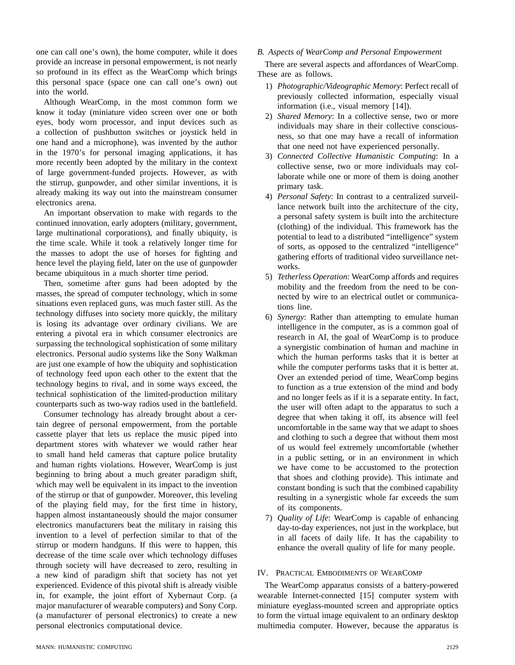one can call one's own), the home computer, while it does provide an increase in personal empowerment, is not nearly so profound in its effect as the WearComp which brings this personal space (space one can call one's own) out into the world.

Although WearComp, in the most common form we know it today (miniature video screen over one or both eyes, body worn processor, and input devices such as a collection of pushbutton switches or joystick held in one hand and a microphone), was invented by the author in the 1970's for personal imaging applications, it has more recently been adopted by the military in the context of large government-funded projects. However, as with the stirrup, gunpowder, and other similar inventions, it is already making its way out into the mainstream consumer electronics arena.

An important observation to make with regards to the continued innovation, early adopters (military, government, large multinational corporations), and finally ubiquity, is the time scale. While it took a relatively longer time for the masses to adopt the use of horses for fighting and hence level the playing field, later on the use of gunpowder became ubiquitous in a much shorter time period.

Then, sometime after guns had been adopted by the masses, the spread of computer technology, which in some situations even replaced guns, was much faster still. As the technology diffuses into society more quickly, the military is losing its advantage over ordinary civilians. We are entering a pivotal era in which consumer electronics are surpassing the technological sophistication of some military electronics. Personal audio systems like the Sony Walkman are just one example of how the ubiquity and sophistication of technology feed upon each other to the extent that the technology begins to rival, and in some ways exceed, the technical sophistication of the limited-production military counterparts such as two-way radios used in the battlefield.

Consumer technology has already brought about a certain degree of personal empowerment, from the portable cassette player that lets us replace the music piped into department stores with whatever we would rather hear to small hand held cameras that capture police brutality and human rights violations. However, WearComp is just beginning to bring about a much greater paradigm shift, which may well be equivalent in its impact to the invention of the stirrup or that of gunpowder. Moreover, this leveling of the playing field may, for the first time in history, happen almost instantaneously should the major consumer electronics manufacturers beat the military in raising this invention to a level of perfection similar to that of the stirrup or modern handguns. If this were to happen, this decrease of the time scale over which technology diffuses through society will have decreased to zero, resulting in a new kind of paradigm shift that society has not yet experienced. Evidence of this pivotal shift is already visible in, for example, the joint effort of Xybernaut Corp. (a major manufacturer of wearable computers) and Sony Corp. (a manufacturer of personal electronics) to create a new personal electronics computational device.

#### *B. Aspects of WearComp and Personal Empowerment*

There are several aspects and affordances of WearComp. These are as follows.

- 1) *Photographic/Videographic Memory*: Perfect recall of previously collected information, especially visual information (i.e., visual memory [14]).
- 2) *Shared Memory*: In a collective sense, two or more individuals may share in their collective consciousness, so that one may have a recall of information that one need not have experienced personally.
- 3) *Connected Collective Humanistic Computing*: In a collective sense, two or more individuals may collaborate while one or more of them is doing another primary task.
- 4) *Personal Safety*: In contrast to a centralized surveillance network built into the architecture of the city, a personal safety system is built into the architecture (clothing) of the individual. This framework has the potential to lead to a distributed "intelligence" system of sorts, as opposed to the centralized "intelligence" gathering efforts of traditional video surveillance networks.
- 5) *Tetherless Operation*: WearComp affords and requires mobility and the freedom from the need to be connected by wire to an electrical outlet or communications line.
- 6) *Synergy*: Rather than attempting to emulate human intelligence in the computer, as is a common goal of research in AI, the goal of WearComp is to produce a synergistic combination of human and machine in which the human performs tasks that it is better at while the computer performs tasks that it is better at. Over an extended period of time, WearComp begins to function as a true extension of the mind and body and no longer feels as if it is a separate entity. In fact, the user will often adapt to the apparatus to such a degree that when taking it off, its absence will feel uncomfortable in the same way that we adapt to shoes and clothing to such a degree that without them most of us would feel extremely uncomfortable (whether in a public setting, or in an environment in which we have come to be accustomed to the protection that shoes and clothing provide). This intimate and constant bonding is such that the combined capability resulting in a synergistic whole far exceeds the sum of its components.
- 7) *Quality of Life*: WearComp is capable of enhancing day-to-day experiences, not just in the workplace, but in all facets of daily life. It has the capability to enhance the overall quality of life for many people.

#### IV. PRACTICAL EMBODIMENTS OF WEARCOMP

The WearComp apparatus consists of a battery-powered wearable Internet-connected [15] computer system with miniature eyeglass-mounted screen and appropriate optics to form the virtual image equivalent to an ordinary desktop multimedia computer. However, because the apparatus is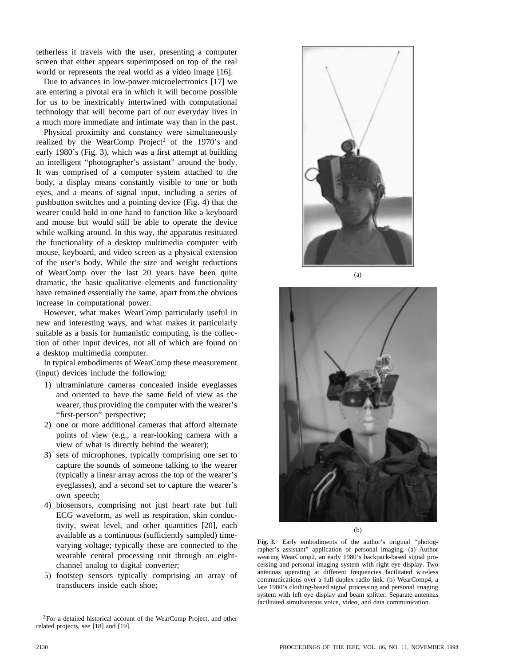tetherless it travels with the user, presenting a computer screen that either appears superimposed on top of the real world or represents the real world as a video image [16].

Due to advances in low-power microelectronics [17] we are entering a pivotal era in which it will become possible for us to be inextricably intertwined with computational technology that will become part of our everyday lives in a much more immediate and intimate way than in the past.

Physical proximity and constancy were simultaneously realized by the WearComp Project<sup>2</sup> of the 1970's and early 1980's (Fig. 3), which was a first attempt at building an intelligent "photographer's assistant" around the body. It was comprised of a computer system attached to the body, a display means constantly visible to one or both eyes, and a means of signal input, including a series of pushbutton switches and a pointing device (Fig. 4) that the wearer could hold in one hand to function like a keyboard and mouse but would still be able to operate the device while walking around. In this way, the apparatus resituated the functionality of a desktop multimedia computer with mouse, keyboard, and video screen as a physical extension of the user's body. While the size and weight reductions of WearComp over the last 20 years have been quite dramatic, the basic qualitative elements and functionality have remained essentially the same, apart from the obvious increase in computational power.

However, what makes WearComp particularly useful in new and interesting ways, and what makes it particularly suitable as a basis for humanistic computing, is the collection of other input devices, not all of which are found on a desktop multimedia computer.

In typical embodiments of WearComp these measurement (input) devices include the following:

- 1) ultraminiature cameras concealed inside eyeglasses and oriented to have the same field of view as the wearer, thus providing the computer with the wearer's "first-person" perspective;
- 2) one or more additional cameras that afford alternate points of view (e.g., a rear-looking camera with a view of what is directly behind the wearer);
- 3) sets of microphones, typically comprising one set to capture the sounds of someone talking to the wearer (typically a linear array across the top of the wearer's eyeglasses), and a second set to capture the wearer's own speech;
- 4) biosensors, comprising not just heart rate but full ECG waveform, as well as respiration, skin conductivity, sweat level, and other quantities [20], each available as a continuous (sufficiently sampled) timevarying voltage; typically these are connected to the wearable central processing unit through an eightchannel analog to digital converter;
- 5) footstep sensors typically comprising an array of transducers inside each shoe;



(a)



(b)

**Fig. 3.** Early embodiments of the author's original "photographer's assistant" application of personal imaging. (a) Author wearing WearComp2, an early 1980's backpack-based signal processing and personal imaging system with right eye display. Two antennas operating at different frequencies facilitated wireless communications over a full-duplex radio link. (b) WearComp4, a late 1980's clothing-based signal processing and personal imaging system with left eye display and beam splitter. Separate antennas facilitated simultaneous voice, video, and data communication.

 $2$ For a detailed historical account of the WearComp Project, and other related projects, see [18] and [19].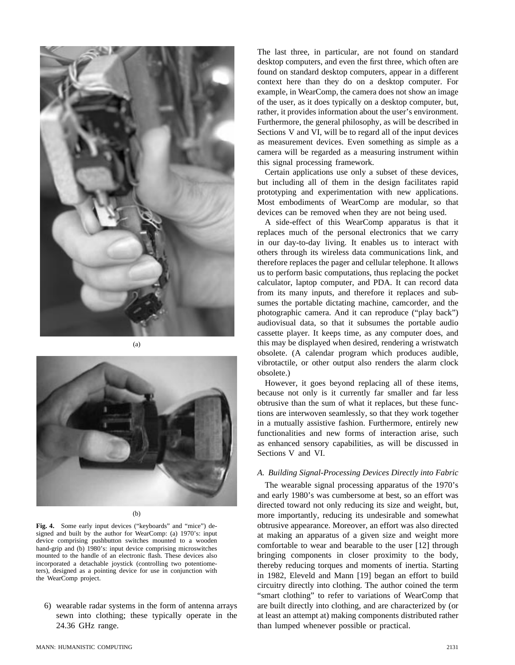

(a)



(b)

**Fig. 4.** Some early input devices ("keyboards" and "mice") designed and built by the author for WearComp: (a) 1970's: input device comprising pushbutton switches mounted to a wooden hand-grip and (b) 1980's: input device comprising microswitches mounted to the handle of an electronic flash. These devices also incorporated a detachable joystick (controlling two potentiometers), designed as a pointing device for use in conjunction with the WearComp project.

6) wearable radar systems in the form of antenna arrays sewn into clothing; these typically operate in the 24.36 GHz range.

The last three, in particular, are not found on standard desktop computers, and even the first three, which often are found on standard desktop computers, appear in a different context here than they do on a desktop computer. For example, in WearComp, the camera does not show an image of the user, as it does typically on a desktop computer, but, rather, it provides information about the user's environment. Furthermore, the general philosophy, as will be described in Sections V and VI, will be to regard all of the input devices as measurement devices. Even something as simple as a camera will be regarded as a measuring instrument within this signal processing framework.

Certain applications use only a subset of these devices, but including all of them in the design facilitates rapid prototyping and experimentation with new applications. Most embodiments of WearComp are modular, so that devices can be removed when they are not being used.

A side-effect of this WearComp apparatus is that it replaces much of the personal electronics that we carry in our day-to-day living. It enables us to interact with others through its wireless data communications link, and therefore replaces the pager and cellular telephone. It allows us to perform basic computations, thus replacing the pocket calculator, laptop computer, and PDA. It can record data from its many inputs, and therefore it replaces and subsumes the portable dictating machine, camcorder, and the photographic camera. And it can reproduce ("play back") audiovisual data, so that it subsumes the portable audio cassette player. It keeps time, as any computer does, and this may be displayed when desired, rendering a wristwatch obsolete. (A calendar program which produces audible, vibrotactile, or other output also renders the alarm clock obsolete.)

However, it goes beyond replacing all of these items, because not only is it currently far smaller and far less obtrusive than the sum of what it replaces, but these functions are interwoven seamlessly, so that they work together in a mutually assistive fashion. Furthermore, entirely new functionalities and new forms of interaction arise, such as enhanced sensory capabilities, as will be discussed in Sections V and VI.

#### *A. Building Signal-Processing Devices Directly into Fabric*

The wearable signal processing apparatus of the 1970's and early 1980's was cumbersome at best, so an effort was directed toward not only reducing its size and weight, but, more importantly, reducing its undesirable and somewhat obtrusive appearance. Moreover, an effort was also directed at making an apparatus of a given size and weight more comfortable to wear and bearable to the user [12] through bringing components in closer proximity to the body, thereby reducing torques and moments of inertia. Starting in 1982, Eleveld and Mann [19] began an effort to build circuitry directly into clothing. The author coined the term "smart clothing" to refer to variations of WearComp that are built directly into clothing, and are characterized by (or at least an attempt at) making components distributed rather than lumped whenever possible or practical.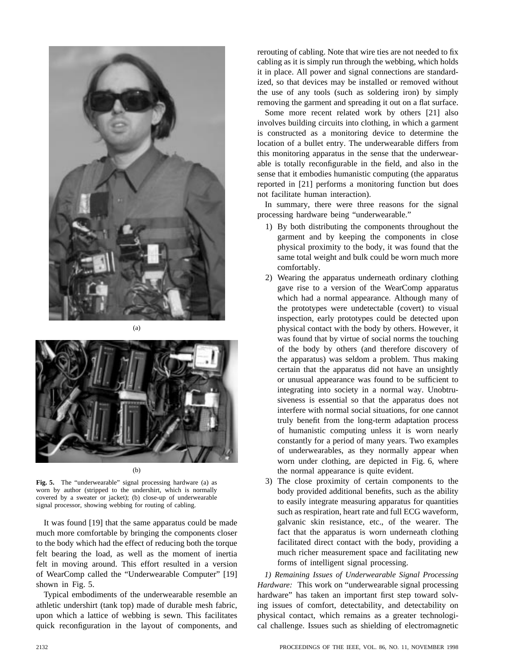



(b)

**Fig. 5.** The "underwearable" signal processing hardware (a) as worn by author (stripped to the undershirt, which is normally covered by a sweater or jacket); (b) close-up of underwearable signal processor, showing webbing for routing of cabling.

It was found [19] that the same apparatus could be made much more comfortable by bringing the components closer to the body which had the effect of reducing both the torque felt bearing the load, as well as the moment of inertia felt in moving around. This effort resulted in a version of WearComp called the "Underwearable Computer" [19] shown in Fig. 5.

Typical embodiments of the underwearable resemble an athletic undershirt (tank top) made of durable mesh fabric, upon which a lattice of webbing is sewn. This facilitates quick reconfiguration in the layout of components, and rerouting of cabling. Note that wire ties are not needed to fix cabling as it is simply run through the webbing, which holds it in place. All power and signal connections are standardized, so that devices may be installed or removed without the use of any tools (such as soldering iron) by simply removing the garment and spreading it out on a flat surface.

Some more recent related work by others [21] also involves building circuits into clothing, in which a garment is constructed as a monitoring device to determine the location of a bullet entry. The underwearable differs from this monitoring apparatus in the sense that the underwearable is totally reconfigurable in the field, and also in the sense that it embodies humanistic computing (the apparatus reported in [21] performs a monitoring function but does not facilitate human interaction).

In summary, there were three reasons for the signal processing hardware being "underwearable."

- 1) By both distributing the components throughout the garment and by keeping the components in close physical proximity to the body, it was found that the same total weight and bulk could be worn much more comfortably.
- 2) Wearing the apparatus underneath ordinary clothing gave rise to a version of the WearComp apparatus which had a normal appearance. Although many of the prototypes were undetectable (covert) to visual inspection, early prototypes could be detected upon physical contact with the body by others. However, it was found that by virtue of social norms the touching of the body by others (and therefore discovery of the apparatus) was seldom a problem. Thus making certain that the apparatus did not have an unsightly or unusual appearance was found to be sufficient to integrating into society in a normal way. Unobtrusiveness is essential so that the apparatus does not interfere with normal social situations, for one cannot truly benefit from the long-term adaptation process of humanistic computing unless it is worn nearly constantly for a period of many years. Two examples of underwearables, as they normally appear when worn under clothing, are depicted in Fig. 6, where the normal appearance is quite evident.
- 3) The close proximity of certain components to the body provided additional benefits, such as the ability to easily integrate measuring apparatus for quantities such as respiration, heart rate and full ECG waveform, galvanic skin resistance, etc., of the wearer. The fact that the apparatus is worn underneath clothing facilitated direct contact with the body, providing a much richer measurement space and facilitating new forms of intelligent signal processing.

*1) Remaining Issues of Underwearable Signal Processing Hardware:* This work on "underwearable signal processing hardware" has taken an important first step toward solving issues of comfort, detectability, and detectability on physical contact, which remains as a greater technological challenge. Issues such as shielding of electromagnetic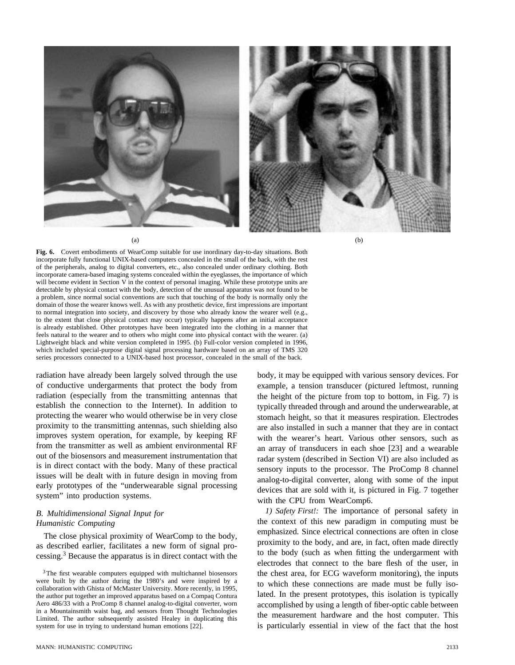



 $(a)$  (b)

**Fig. 6.** Covert embodiments of WearComp suitable for use inordinary day-to-day situations. Both incorporate fully functional UNIX-based computers concealed in the small of the back, with the rest of the peripherals, analog to digital converters, etc., also concealed under ordinary clothing. Both incorporate camera-based imaging systems concealed within the eyeglasses, the importance of which will become evident in Section V in the context of personal imaging. While these prototype units are detectable by physical contact with the body, detection of the unusual apparatus was not found to be a problem, since normal social conventions are such that touching of the body is normally only the domain of those the wearer knows well. As with any prosthetic device, first impressions are important to normal integration into society, and discovery by those who already know the wearer well (e.g., to the extent that close physical contact may occur) typically happens after an initial acceptance is already established. Other prototypes have been integrated into the clothing in a manner that feels natural to the wearer and to others who might come into physical contact with the wearer. (a) Lightweight black and white version completed in 1995. (b) Full-color version completed in 1996, which included special-purpose digital signal processing hardware based on an array of TMS 320 series processors connected to a UNIX-based host processor, concealed in the small of the back.

radiation have already been largely solved through the use of conductive undergarments that protect the body from radiation (especially from the transmitting antennas that establish the connection to the Internet). In addition to protecting the wearer who would otherwise be in very close proximity to the transmitting antennas, such shielding also improves system operation, for example, by keeping RF from the transmitter as well as ambient environmental RF out of the biosensors and measurement instrumentation that is in direct contact with the body. Many of these practical issues will be dealt with in future design in moving from early prototypes of the "underwearable signal processing system" into production systems.

## *B. Multidimensional Signal Input for Humanistic Computing*

The close physical proximity of WearComp to the body, as described earlier, facilitates a new form of signal processing.<sup>3</sup> Because the apparatus is in direct contact with the body, it may be equipped with various sensory devices. For example, a tension transducer (pictured leftmost, running the height of the picture from top to bottom, in Fig. 7) is typically threaded through and around the underwearable, at stomach height, so that it measures respiration. Electrodes are also installed in such a manner that they are in contact with the wearer's heart. Various other sensors, such as an array of transducers in each shoe [23] and a wearable radar system (described in Section VI) are also included as sensory inputs to the processor. The ProComp 8 channel analog-to-digital converter, along with some of the input devices that are sold with it, is pictured in Fig. 7 together with the CPU from WearComp6.

*1) Safety First!:* The importance of personal safety in the context of this new paradigm in computing must be emphasized. Since electrical connections are often in close proximity to the body, and are, in fact, often made directly to the body (such as when fitting the undergarment with electrodes that connect to the bare flesh of the user, in the chest area, for ECG waveform monitoring), the inputs to which these connections are made must be fully isolated. In the present prototypes, this isolation is typically accomplished by using a length of fiber-optic cable between the measurement hardware and the host computer. This is particularly essential in view of the fact that the host

<sup>3</sup>The first wearable computers equipped with multichannel biosensors were built by the author during the 1980's and were inspired by a collaboration with Ghista of McMaster University. More recently, in 1995, the author put together an improved apparatus based on a Compaq Contura Aero 486/33 with a ProComp 8 channel analog-to-digital converter, worn in a Mountainsmith waist bag, and sensors from Thought Technologies Limited. The author subsequently assisted Healey in duplicating this system for use in trying to understand human emotions [22].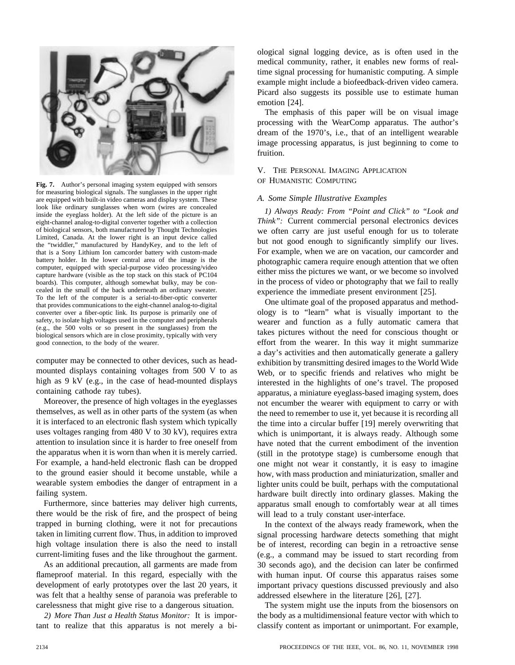

**Fig. 7.** Author's personal imaging system equipped with sensors for measuring biological signals. The sunglasses in the upper right are equipped with built-in video cameras and display system. These look like ordinary sunglasses when worn (wires are concealed inside the eyeglass holder). At the left side of the picture is an eight-channel analog-to-digital converter together with a collection of biological sensors, both manufactured by Thought Technologies Limited, Canada. At the lower right is an input device called the "twiddler," manufactured by HandyKey, and to the left of that is a Sony Lithium Ion camcorder battery with custom-made battery holder. In the lower central area of the image is the computer, equipped with special-purpose video processing/video capture hardware (visible as the top stack on this stack of PC104 boards). This computer, although somewhat bulky, may be concealed in the small of the back underneath an ordinary sweater. To the left of the computer is a serial-to-fiber-optic converter that provides communications to the eight-channel analog-to-digital converter over a fiber-optic link. Its purpose is primarily one of safety, to isolate high voltages used in the computer and peripherals (e.g., the 500 volts or so present in the sunglasses) from the biological sensors which are in close proximity, typically with very good connection, to the body of the wearer.

computer may be connected to other devices, such as headmounted displays containing voltages from 500 V to as high as 9 kV (e.g., in the case of head-mounted displays containing cathode ray tubes).

Moreover, the presence of high voltages in the eyeglasses themselves, as well as in other parts of the system (as when it is interfaced to an electronic flash system which typically uses voltages ranging from 480 V to 30 kV), requires extra attention to insulation since it is harder to free oneself from the apparatus when it is worn than when it is merely carried. For example, a hand-held electronic flash can be dropped to the ground easier should it become unstable, while a wearable system embodies the danger of entrapment in a failing system.

Furthermore, since batteries may deliver high currents, there would be the risk of fire, and the prospect of being trapped in burning clothing, were it not for precautions taken in limiting current flow. Thus, in addition to improved high voltage insulation there is also the need to install current-limiting fuses and the like throughout the garment.

As an additional precaution, all garments are made from flameproof material. In this regard, especially with the development of early prototypes over the last 20 years, it was felt that a healthy sense of paranoia was preferable to carelessness that might give rise to a dangerous situation.

*2) More Than Just a Health Status Monitor:* It is important to realize that this apparatus is not merely a biological signal logging device, as is often used in the medical community, rather, it enables new forms of realtime signal processing for humanistic computing. A simple example might include a biofeedback-driven video camera. Picard also suggests its possible use to estimate human emotion [24].

The emphasis of this paper will be on visual image processing with the WearComp apparatus. The author's dream of the 1970's, i.e., that of an intelligent wearable image processing apparatus, is just beginning to come to fruition.

## V. THE PERSONAL IMAGING APPLICATION OF HUMANISTIC COMPUTING

#### *A. Some Simple Illustrative Examples*

*1) Always Ready: From "Point and Click" to "Look and Think":* Current commercial personal electronics devices we often carry are just useful enough for us to tolerate but not good enough to significantly simplify our lives. For example, when we are on vacation, our camcorder and photographic camera require enough attention that we often either miss the pictures we want, or we become so involved in the process of video or photography that we fail to really experience the immediate present environment [25].

One ultimate goal of the proposed apparatus and methodology is to "learn" what is visually important to the wearer and function as a fully automatic camera that takes pictures without the need for conscious thought or effort from the wearer. In this way it might summarize a day's activities and then automatically generate a gallery exhibition by transmitting desired images to the World Wide Web, or to specific friends and relatives who might be interested in the highlights of one's travel. The proposed apparatus, a miniature eyeglass-based imaging system, does not encumber the wearer with equipment to carry or with the need to remember to use it, yet because it is recording all the time into a circular buffer [19] merely overwriting that which is unimportant, it is always ready. Although some have noted that the current embodiment of the invention (still in the prototype stage) is cumbersome enough that one might not wear it constantly, it is easy to imagine how, with mass production and miniaturization, smaller and lighter units could be built, perhaps with the computational hardware built directly into ordinary glasses. Making the apparatus small enough to comfortably wear at all times will lead to a truly constant user-interface.

In the context of the always ready framework, when the signal processing hardware detects something that might be of interest, recording can begin in a retroactive sense (e.g., a command may be issued to start recording from 30 seconds ago), and the decision can later be confirmed with human input. Of course this apparatus raises some important privacy questions discussed previously and also addressed elsewhere in the literature [26], [27].

The system might use the inputs from the biosensors on the body as a multidimensional feature vector with which to classify content as important or unimportant. For example,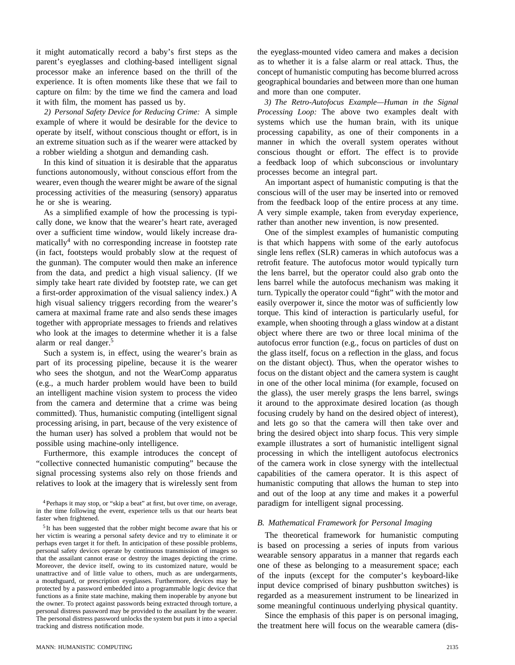it might automatically record a baby's first steps as the parent's eyeglasses and clothing-based intelligent signal processor make an inference based on the thrill of the experience. It is often moments like these that we fail to capture on film: by the time we find the camera and load it with film, the moment has passed us by.

*2) Personal Safety Device for Reducing Crime:* A simple example of where it would be desirable for the device to operate by itself, without conscious thought or effort, is in an extreme situation such as if the wearer were attacked by a robber wielding a shotgun and demanding cash.

In this kind of situation it is desirable that the apparatus functions autonomously, without conscious effort from the wearer, even though the wearer might be aware of the signal processing activities of the measuring (sensory) apparatus he or she is wearing.

As a simplified example of how the processing is typically done, we know that the wearer's heart rate, averaged over a sufficient time window, would likely increase dramatically<sup>4</sup> with no corresponding increase in footstep rate (in fact, footsteps would probably slow at the request of the gunman). The computer would then make an inference from the data, and predict a high visual saliency. (If we simply take heart rate divided by footstep rate, we can get a first-order approximation of the visual saliency index.) A high visual saliency triggers recording from the wearer's camera at maximal frame rate and also sends these images together with appropriate messages to friends and relatives who look at the images to determine whether it is a false alarm or real danger.<sup>5</sup>

Such a system is, in effect, using the wearer's brain as part of its processing pipeline, because it is the wearer who sees the shotgun, and not the WearComp apparatus (e.g., a much harder problem would have been to build an intelligent machine vision system to process the video from the camera and determine that a crime was being committed). Thus, humanistic computing (intelligent signal processing arising, in part, because of the very existence of the human user) has solved a problem that would not be possible using machine-only intelligence.

Furthermore, this example introduces the concept of "collective connected humanistic computing" because the signal processing systems also rely on those friends and relatives to look at the imagery that is wirelessly sent from the eyeglass-mounted video camera and makes a decision as to whether it is a false alarm or real attack. Thus, the concept of humanistic computing has become blurred across geographical boundaries and between more than one human and more than one computer.

*3) The Retro-Autofocus Example—Human in the Signal Processing Loop:* The above two examples dealt with systems which use the human brain, with its unique processing capability, as one of their components in a manner in which the overall system operates without conscious thought or effort. The effect is to provide a feedback loop of which subconscious or involuntary processes become an integral part.

An important aspect of humanistic computing is that the conscious will of the user may be inserted into or removed from the feedback loop of the entire process at any time. A very simple example, taken from everyday experience, rather than another new invention, is now presented.

One of the simplest examples of humanistic computing is that which happens with some of the early autofocus single lens reflex (SLR) cameras in which autofocus was a retrofit feature. The autofocus motor would typically turn the lens barrel, but the operator could also grab onto the lens barrel while the autofocus mechanism was making it turn. Typically the operator could "fight" with the motor and easily overpower it, since the motor was of sufficiently low torque. This kind of interaction is particularly useful, for example, when shooting through a glass window at a distant object where there are two or three local minima of the autofocus error function (e.g., focus on particles of dust on the glass itself, focus on a reflection in the glass, and focus on the distant object). Thus, when the operator wishes to focus on the distant object and the camera system is caught in one of the other local minima (for example, focused on the glass), the user merely grasps the lens barrel, swings it around to the approximate desired location (as though focusing crudely by hand on the desired object of interest), and lets go so that the camera will then take over and bring the desired object into sharp focus. This very simple example illustrates a sort of humanistic intelligent signal processing in which the intelligent autofocus electronics of the camera work in close synergy with the intellectual capabilities of the camera operator. It is this aspect of humanistic computing that allows the human to step into and out of the loop at any time and makes it a powerful paradigm for intelligent signal processing.

#### *B. Mathematical Framework for Personal Imaging*

The theoretical framework for humanistic computing is based on processing a series of inputs from various wearable sensory apparatus in a manner that regards each one of these as belonging to a measurement space; each of the inputs (except for the computer's keyboard-like input device comprised of binary pushbutton switches) is regarded as a measurement instrument to be linearized in some meaningful continuous underlying physical quantity.

Since the emphasis of this paper is on personal imaging, the treatment here will focus on the wearable camera (dis-

<sup>4</sup>Perhaps it may stop, or "skip a beat" at first, but over time, on average, in the time following the event, experience tells us that our hearts beat faster when frightened.

<sup>&</sup>lt;sup>5</sup> It has been suggested that the robber might become aware that his or her victim is wearing a personal safety device and try to eliminate it or perhaps even target it for theft. In anticipation of these possible problems, personal safety devices operate by continuous transmission of images so that the assailant cannot erase or destroy the images depicting the crime. Moreover, the device itself, owing to its customized nature, would be unattractive and of little value to others, much as are undergarments, a mouthguard, or prescription eyeglasses. Furthermore, devices may be protected by a password embedded into a programmable logic device that functions as a finite state machine, making them inoperable by anyone but the owner. To protect against passwords being extracted through torture, a personal distress password may be provided to the assailant by the wearer. The personal distress password unlocks the system but puts it into a special tracking and distress notification mode.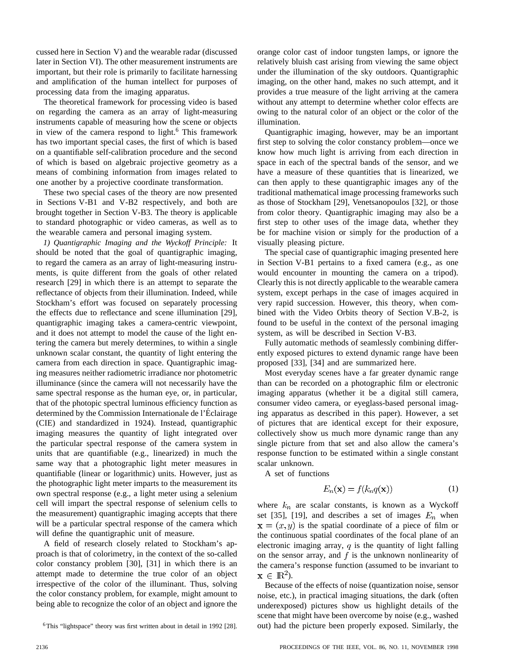cussed here in Section V) and the wearable radar (discussed later in Section VI). The other measurement instruments are important, but their role is primarily to facilitate harnessing and amplification of the human intellect for purposes of processing data from the imaging apparatus.

The theoretical framework for processing video is based on regarding the camera as an array of light-measuring instruments capable of measuring how the scene or objects in view of the camera respond to light.<sup>6</sup> This framework has two important special cases, the first of which is based on a quantifiable self-calibration procedure and the second of which is based on algebraic projective geometry as a means of combining information from images related to one another by a projective coordinate transformation.

These two special cases of the theory are now presented in Sections V-B1 and V-B2 respectively, and both are brought together in Section V-B3. The theory is applicable to standard photographic or video cameras, as well as to the wearable camera and personal imaging system.

*1) Quantigraphic Imaging and the Wyckoff Principle:* It should be noted that the goal of quantigraphic imaging, to regard the camera as an array of light-measuring instruments, is quite different from the goals of other related research [29] in which there is an attempt to separate the reflectance of objects from their illumination. Indeed, while Stockham's effort was focused on separately processing the effects due to reflectance and scene illumination [29], quantigraphic imaging takes a camera-centric viewpoint, and it does not attempt to model the cause of the light entering the camera but merely determines, to within a single unknown scalar constant, the quantity of light entering the camera from each direction in space. Quantigraphic imaging measures neither radiometric irradiance nor photometric illuminance (since the camera will not necessarily have the same spectral response as the human eye, or, in particular, that of the photopic spectral luminous efficiency function as determined by the Commission Internationale de l'Eclairage ´ (CIE) and standardized in 1924). Instead, quantigraphic imaging measures the quantity of light integrated over the particular spectral response of the camera system in units that are quantifiable (e.g., linearized) in much the same way that a photographic light meter measures in quantifiable (linear or logarithmic) units. However, just as the photographic light meter imparts to the measurement its own spectral response (e.g., a light meter using a selenium cell will impart the spectral response of selenium cells to the measurement) quantigraphic imaging accepts that there will be a particular spectral response of the camera which will define the quantigraphic unit of measure.

A field of research closely related to Stockham's approach is that of colorimetry, in the context of the so-called color constancy problem [30], [31] in which there is an attempt made to determine the true color of an object irrespective of the color of the illuminant. Thus, solving the color constancy problem, for example, might amount to being able to recognize the color of an object and ignore the orange color cast of indoor tungsten lamps, or ignore the relatively bluish cast arising from viewing the same object under the illumination of the sky outdoors. Quantigraphic imaging, on the other hand, makes no such attempt, and it provides a true measure of the light arriving at the camera without any attempt to determine whether color effects are owing to the natural color of an object or the color of the illumination.

Quantigraphic imaging, however, may be an important first step to solving the color constancy problem—once we know how much light is arriving from each direction in space in each of the spectral bands of the sensor, and we have a measure of these quantities that is linearized, we can then apply to these quantigraphic images any of the traditional mathematical image processing frameworks such as those of Stockham [29], Venetsanopoulos [32], or those from color theory. Quantigraphic imaging may also be a first step to other uses of the image data, whether they be for machine vision or simply for the production of a visually pleasing picture.

The special case of quantigraphic imaging presented here in Section V-B1 pertains to a fixed camera (e.g., as one would encounter in mounting the camera on a tripod). Clearly this is not directly applicable to the wearable camera system, except perhaps in the case of images acquired in very rapid succession. However, this theory, when combined with the Video Orbits theory of Section V.B-2, is found to be useful in the context of the personal imaging system, as will be described in Section V-B3.

Fully automatic methods of seamlessly combining differently exposed pictures to extend dynamic range have been proposed [33], [34] and are summarized here.

Most everyday scenes have a far greater dynamic range than can be recorded on a photographic film or electronic imaging apparatus (whether it be a digital still camera, consumer video camera, or eyeglass-based personal imaging apparatus as described in this paper). However, a set of pictures that are identical except for their exposure, collectively show us much more dynamic range than any single picture from that set and also allow the camera's response function to be estimated within a single constant scalar unknown.

A set of functions

$$
E_n(\mathbf{x}) = f(k_n q(\mathbf{x}))\tag{1}
$$

where  $k_n$  are scalar constants, is known as a Wyckoff set [35], [19], and describes a set of images  $E_n$  when  $\mathbf{x} = (x, y)$  is the spatial coordinate of a piece of film or the continuous spatial coordinates of the focal plane of an electronic imaging array,  $q$  is the quantity of light falling on the sensor array, and  $f$  is the unknown nonlinearity of the camera's response function (assumed to be invariant to  $\mathbf{x} \in \mathbb{R}^2$ ).

Because of the effects of noise (quantization noise, sensor noise, etc.), in practical imaging situations, the dark (often underexposed) pictures show us highlight details of the scene that might have been overcome by noise (e.g., washed out) had the picture been properly exposed. Similarly, the

<sup>&</sup>lt;sup>6</sup>This "lightspace" theory was first written about in detail in 1992 [28].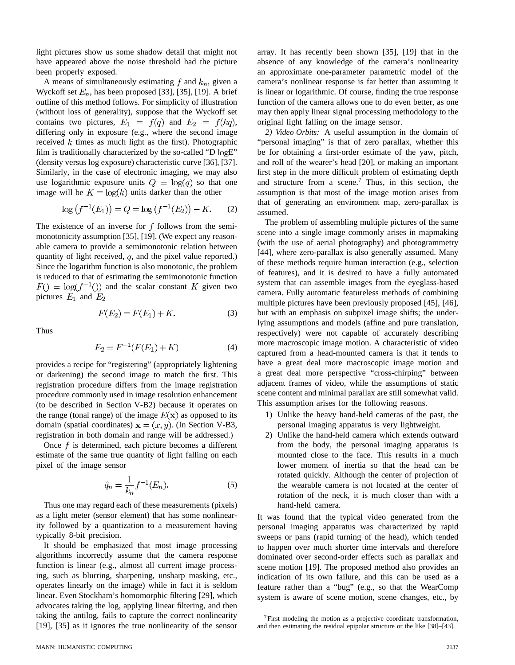light pictures show us some shadow detail that might not have appeared above the noise threshold had the picture been properly exposed.

A means of simultaneously estimating  $f$  and  $k_n$ , given a Wyckoff set  $E_n$ , has been proposed [33], [35], [19]. A brief outline of this method follows. For simplicity of illustration (without loss of generality), suppose that the Wyckoff set contains two pictures,  $E_1 = f(q)$  and  $E_2 = f(kq)$ , differing only in exposure (e.g., where the second image received  $k$  times as much light as the first). Photographic film is traditionally characterized by the so-called "D  $logE$ " (density versus log exposure) characteristic curve [36], [37]. Similarly, in the case of electronic imaging, we may also use logarithmic exposure units  $Q = \log(q)$  so that one image will be  $K = \log(k)$  units darker than the other

$$
\log\left(f^{-1}(E_1)\right) = Q = \log\left(f^{-1}(E_2)\right) - K.\tag{2}
$$

The existence of an inverse for  $f$  follows from the semimonotonicity assumption [35], [19]. (We expect any reasonable camera to provide a semimonotonic relation between quantity of light received,  $q$ , and the pixel value reported.) Since the logarithm function is also monotonic, the problem is reduced to that of estimating the semimonotonic function  $F() = \log(f^{-1}())$  and the scalar constant K given two pictures  $E_1$  and  $E_2$ 

$$
F(E_2) = F(E_1) + K.
$$
 (3)

Thus

$$
E_2 = F^{-1}(F(E_1) + K)
$$
 (4)

provides a recipe for "registering" (appropriately lightening or darkening) the second image to match the first. This registration procedure differs from the image registration procedure commonly used in image resolution enhancement (to be described in Section V-B2) because it operates on the range (tonal range) of the image  $E(\mathbf{x})$  as opposed to its domain (spatial coordinates)  $\mathbf{x} = (x, y)$ . (In Section V-B3, registration in both domain and range will be addressed.)

Once  $f$  is determined, each picture becomes a different estimate of the same true quantity of light falling on each pixel of the image sensor

$$
\hat{q}_n = \frac{1}{k_n} f^{-1}(E_n).
$$
 (5)

Thus one may regard each of these measurements (pixels) as a light meter (sensor element) that has some nonlinearity followed by a quantization to a measurement having typically 8-bit precision.

It should be emphasized that most image processing algorithms incorrectly assume that the camera response function is linear (e.g., almost all current image processing, such as blurring, sharpening, unsharp masking, etc., operates linearly on the image) while in fact it is seldom linear. Even Stockham's homomorphic filtering [29], which advocates taking the log, applying linear filtering, and then taking the antilog, fails to capture the correct nonlinearity [19], [35] as it ignores the true nonlinearity of the sensor

array. It has recently been shown [35], [19] that in the absence of any knowledge of the camera's nonlinearity an approximate one-parameter parametric model of the camera's nonlinear response is far better than assuming it is linear or logarithmic. Of course, finding the true response function of the camera allows one to do even better, as one may then apply linear signal processing methodology to the original light falling on the image sensor.

*2) Video Orbits:* A useful assumption in the domain of "personal imaging" is that of zero parallax, whether this be for obtaining a first-order estimate of the yaw, pitch, and roll of the wearer's head [20], or making an important first step in the more difficult problem of estimating depth and structure from a scene.<sup>7</sup> Thus, in this section, the assumption is that most of the image motion arises from that of generating an environment map, zero-parallax is assumed.

The problem of assembling multiple pictures of the same scene into a single image commonly arises in mapmaking (with the use of aerial photography) and photogrammetry [44], where zero-parallax is also generally assumed. Many of these methods require human interaction (e.g., selection of features), and it is desired to have a fully automated system that can assemble images from the eyeglass-based camera. Fully automatic featureless methods of combining multiple pictures have been previously proposed [45], [46], but with an emphasis on subpixel image shifts; the underlying assumptions and models (affine and pure translation, respectively) were not capable of accurately describing more macroscopic image motion. A characteristic of video captured from a head-mounted camera is that it tends to have a great deal more macroscopic image motion and a great deal more perspective "cross-chirping" between adjacent frames of video, while the assumptions of static scene content and minimal parallax are still somewhat valid. This assumption arises for the following reasons.

- 1) Unlike the heavy hand-held cameras of the past, the personal imaging apparatus is very lightweight.
- 2) Unlike the hand-held camera which extends outward from the body, the personal imaging apparatus is mounted close to the face. This results in a much lower moment of inertia so that the head can be rotated quickly. Although the center of projection of the wearable camera is not located at the center of rotation of the neck, it is much closer than with a hand-held camera.

It was found that the typical video generated from the personal imaging apparatus was characterized by rapid sweeps or pans (rapid turning of the head), which tended to happen over much shorter time intervals and therefore dominated over second-order effects such as parallax and scene motion [19]. The proposed method also provides an indication of its own failure, and this can be used as a feature rather than a "bug" (e.g., so that the WearComp system is aware of scene motion, scene changes, etc., by

 $7$ First modeling the motion as a projective coordinate transformation, and then estimating the residual epipolar structure or the like [38]–[43].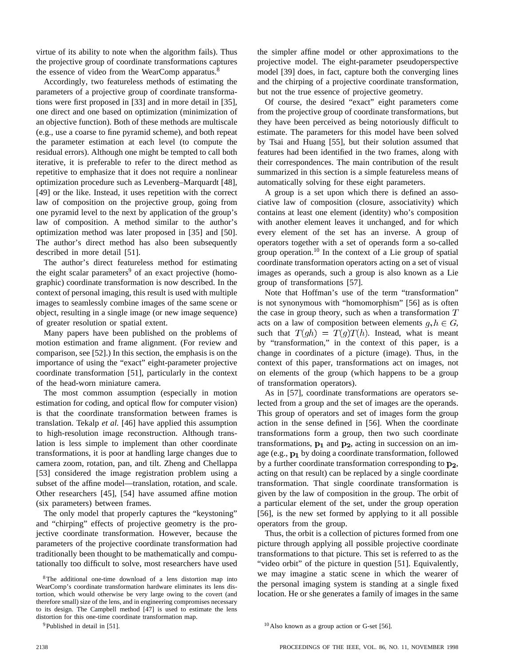virtue of its ability to note when the algorithm fails). Thus the projective group of coordinate transformations captures the essence of video from the WearComp apparatus.<sup>8</sup>

Accordingly, two featureless methods of estimating the parameters of a projective group of coordinate transformations were first proposed in [33] and in more detail in [35], one direct and one based on optimization (minimization of an objective function). Both of these methods are multiscale (e.g., use a coarse to fine pyramid scheme), and both repeat the parameter estimation at each level (to compute the residual errors). Although one might be tempted to call both iterative, it is preferable to refer to the direct method as repetitive to emphasize that it does not require a nonlinear optimization procedure such as Levenberg–Marquardt [48], [49] or the like. Instead, it uses repetition with the correct law of composition on the projective group, going from one pyramid level to the next by application of the group's law of composition. A method similar to the author's optimization method was later proposed in [35] and [50]. The author's direct method has also been subsequently described in more detail [51].

The author's direct featureless method for estimating the eight scalar parameters $9$  of an exact projective (homographic) coordinate transformation is now described. In the context of personal imaging, this result is used with multiple images to seamlessly combine images of the same scene or object, resulting in a single image (or new image sequence) of greater resolution or spatial extent.

Many papers have been published on the problems of motion estimation and frame alignment. (For review and comparison, see [52].) In this section, the emphasis is on the importance of using the "exact" eight-parameter projective coordinate transformation [51], particularly in the context of the head-worn miniature camera.

The most common assumption (especially in motion estimation for coding, and optical flow for computer vision) is that the coordinate transformation between frames is translation. Tekalp *et al.* [46] have applied this assumption to high-resolution image reconstruction. Although translation is less simple to implement than other coordinate transformations, it is poor at handling large changes due to camera zoom, rotation, pan, and tilt. Zheng and Chellappa [53] considered the image registration problem using a subset of the affine model—translation, rotation, and scale. Other researchers [45], [54] have assumed affine motion (six parameters) between frames.

The only model that properly captures the "keystoning" and "chirping" effects of projective geometry is the projective coordinate transformation. However, because the parameters of the projective coordinate transformation had traditionally been thought to be mathematically and computationally too difficult to solve, most researchers have used

<sup>9</sup>Published in detail in [51].

the simpler affine model or other approximations to the projective model. The eight-parameter pseudoperspective model [39] does, in fact, capture both the converging lines and the chirping of a projective coordinate transformation, but not the true essence of projective geometry.

Of course, the desired "exact" eight parameters come from the projective group of coordinate transformations, but they have been perceived as being notoriously difficult to estimate. The parameters for this model have been solved by Tsai and Huang [55], but their solution assumed that features had been identified in the two frames, along with their correspondences. The main contribution of the result summarized in this section is a simple featureless means of automatically solving for these eight parameters.

A group is a set upon which there is defined an associative law of composition (closure, associativity) which contains at least one element (identity) who's composition with another element leaves it unchanged, and for which every element of the set has an inverse. A group of operators together with a set of operands form a so-called group operation.<sup>10</sup> In the context of a Lie group of spatial coordinate transformation operators acting on a set of visual images as operands, such a group is also known as a Lie group of transformations [57].

Note that Hoffman's use of the term "transformation" is not synonymous with "homomorphism" [56] as is often the case in group theory, such as when a transformation  $T$ acts on a law of composition between elements  $q, h \in G$ , such that  $T(gh) = T(g)T(h)$ . Instead, what is meant by "transformation," in the context of this paper, is a change in coordinates of a picture (image). Thus, in the context of this paper, transformations act on images, not on elements of the group (which happens to be a group of transformation operators).

As in [57], coordinate transformations are operators selected from a group and the set of images are the operands. This group of operators and set of images form the group action in the sense defined in [56]. When the coordinate transformations form a group, then two such coordinate transformations,  $\mathbf{p}_1$  and  $\mathbf{p}_2$ , acting in succession on an image (e.g.,  $p_1$  by doing a coordinate transformation, followed by a further coordinate transformation corresponding to  $p_2$ , acting on that result) can be replaced by a single coordinate transformation. That single coordinate transformation is given by the law of composition in the group. The orbit of a particular element of the set, under the group operation [56], is the new set formed by applying to it all possible operators from the group.

Thus, the orbit is a collection of pictures formed from one picture through applying all possible projective coordinate transformations to that picture. This set is referred to as the "video orbit" of the picture in question [51]. Equivalently, we may imagine a static scene in which the wearer of the personal imaging system is standing at a single fixed location. He or she generates a family of images in the same

<sup>8</sup>The additional one-time download of a lens distortion map into WearComp's coordinate transformation hardware eliminates its lens distortion, which would otherwise be very large owing to the covert (and therefore small) size of the lens, and in engineering compromises necessary to its design. The Campbell method [47] is used to estimate the lens distortion for this one-time coordinate transformation map.

<sup>&</sup>lt;sup>10</sup>Also known as a group action or G-set [56].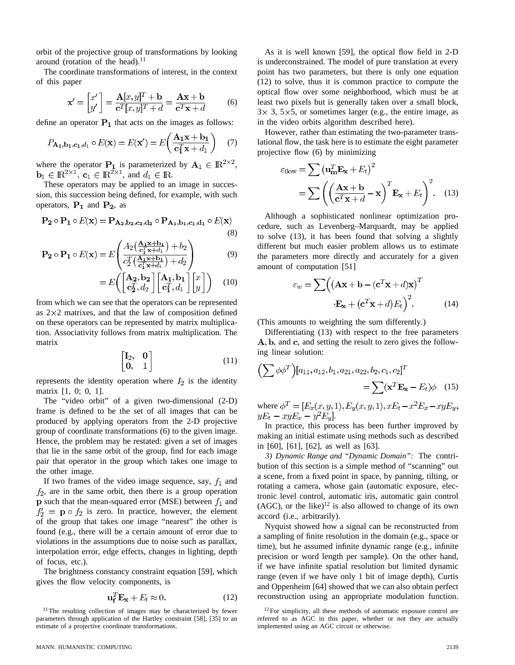orbit of the projective group of transformations by looking around (rotation of the head). $^{11}$ 

The coordinate transformations of interest, in the context of this paper

$$
\mathbf{x}' = \begin{bmatrix} x' \\ y' \end{bmatrix} = \frac{\mathbf{A}[x, y]^T + \mathbf{b}}{\mathbf{c}^T [x, y]^T + d} = \frac{\mathbf{A}\mathbf{x} + \mathbf{b}}{\mathbf{c}^T \mathbf{x} + d}
$$
(6)

define an operator  $P_1$  that acts on the images as follows:

$$
P_{\mathbf{A}_1, \mathbf{b}_1, \mathbf{c}_1, d_1} \circ E(\mathbf{x}) = E(\mathbf{x}') = E\left(\frac{\mathbf{A}_1 \mathbf{x} + \mathbf{b}_1}{\mathbf{c}_1^T \mathbf{x} + d_1}\right) \quad (7)
$$

where the operator  $P_1$  is parameterized by , and  $d_1 \in \mathbb{R}$ .

These operators may be applied to an image in succession, this succession being defined, for example, with such operators,  $P_1$  and  $P_2$ , as

$$
\mathbf{P_2} \circ \mathbf{P_1} \circ E(\mathbf{x}) = \mathbf{P_{A_2, b_2, c_2, d_2}} \circ \mathbf{P_{A_1, b_1, c_1, d_1}} \circ E(\mathbf{x})
$$
\n(8)

$$
\mathbf{P_2} \circ \mathbf{P_1} \circ E(\mathbf{x}) = E\left(\frac{A_2(\frac{\mathbf{A_1} \mathbf{x} + \mathbf{b_1}}{c_1^T \mathbf{x} + d_1}) + b_2}{c_2^T(\frac{\mathbf{A_1} \mathbf{x} + \mathbf{b_1}}{c_1^T \mathbf{x} + d_1}) + d_2}\right) \tag{9}
$$

$$
=E\left(\begin{bmatrix} \mathbf{A_2}, \mathbf{b_2} \\ \mathbf{c}_2^T, d_2 \end{bmatrix} \begin{bmatrix} \mathbf{A_1}, \mathbf{b_1} \\ \mathbf{c}_1^T, d_1 \end{bmatrix} \begin{bmatrix} x \\ y \end{bmatrix}\right) \quad (10)
$$

from which we can see that the operators can be represented as  $2 \times 2$  matrixes, and that the law of composition defined on these operators can be represented by matrix multiplication. Associativity follows from matrix multiplication. The matrix

$$
\begin{bmatrix} \mathbf{I}_2, & \mathbf{0} \\ \mathbf{0}, & 1 \end{bmatrix} \tag{11}
$$

represents the identity operation where  $I_2$  is the identity matrix [1, 0; 0, 1].

The "video orbit" of a given two-dimensional (2-D) frame is defined to be the set of all images that can be produced by applying operators from the 2-D projective group of coordinate transformations (6) to the given image. Hence, the problem may be restated: given a set of images that lie in the same orbit of the group, find for each image pair that operator in the group which takes one image to the other image.

If two frames of the video image sequence, say,  $f_1$  and  $f_2$ , are in the same orbit, then there is a group operation **p** such that the mean-squared error (MSE) between  $f_1$  and  $f_2' = \mathbf{p} \circ f_2$  is zero. In practice, however, the element of the group that takes one image "nearest" the other is found (e.g., there will be a certain amount of error due to violations in the assumptions due to noise such as parallax, interpolation error, edge effects, changes in lighting, depth of focus, etc.).

The brightness constancy constraint equation [59], which gives the flow velocity components, is

$$
\mathbf{u_f^T} \mathbf{E_x} + E_t \approx 0. \tag{12}
$$

As it is well known [59], the optical flow field in 2-D is underconstrained. The model of pure translation at every point has two parameters, but there is only one equation (12) to solve, thus it is common practice to compute the optical flow over some neighborhood, which must be at least two pixels but is generally taken over a small block,  $3 \times 3$ ,  $5 \times 5$ , or sometimes larger (e.g., the entire image, as in the video orbits algorithm described here).

However, rather than estimating the two-parameter translational flow, the task here is to estimate the eight parameter projective flow (6) by minimizing

$$
\varepsilon_{\text{flow}} = \sum \left( \mathbf{u}_{\mathbf{m}}^T \mathbf{E}_{\mathbf{x}} + E_t \right)^2
$$

$$
= \sum \left( \left( \frac{\mathbf{A}\mathbf{x} + \mathbf{b}}{\mathbf{c}^T \mathbf{x} + d} - \mathbf{x} \right)^T \mathbf{E}_{\mathbf{x}} + E_t \right)^2. \quad (13)
$$

Although a sophisticated nonlinear optimization procedure, such as Levenberg–Marquardt, may be applied to solve (13), it has been found that solving a slightly different but much easier problem allows us to estimate the parameters more directly and accurately for a given amount of computation [51]

$$
\varepsilon_w = \sum \Big( \big( \mathbf{A} \mathbf{x} + \mathbf{b} - (\mathbf{c}^T \mathbf{x} + d) \mathbf{x} \big)^T
$$

$$
\cdot \mathbf{E}_\mathbf{x} + (\mathbf{c}^T \mathbf{x} + d) E_t \Big)^2. \tag{14}
$$

(This amounts to weighting the sum differently.)

Differentiating (13) with respect to the free parameters  $A, b, and c, and setting the result to zero gives the following.$ ing linear solution:

$$
\left(\sum \phi \phi^T\right)[a_{11}, a_{12}, b_1, a_{21}, a_{22}, b_2, c_1, c_2]^T
$$

$$
= \sum (\mathbf{x}^T \mathbf{E}_{\mathbf{x}} - E_t)\phi \quad (15)
$$

where .

In practice, this process has been further improved by making an initial estimate using methods such as described in [60], [61], [62], as well as [63].

*3) Dynamic Range and "Dynamic Domain":* The contribution of this section is a simple method of "scanning" out a scene, from a fixed point in space, by panning, tilting, or rotating a camera, whose gain (automatic exposure, electronic level control, automatic iris, automatic gain control (AGC), or the like)<sup>12</sup> is also allowed to change of its own accord (i.e., arbitrarily).

Nyquist showed how a signal can be reconstructed from a sampling of finite resolution in the domain (e.g., space or time), but he assumed infinite dynamic range (e.g., infinite precision or word length per sample). On the other hand, if we have infinite spatial resolution but limited dynamic range (even if we have only 1 bit of image depth), Curtis and Oppenheim [64] showed that we can also obtain perfect reconstruction using an appropriate modulation function.

<sup>&</sup>lt;sup>11</sup>The resulting collection of images may be characterized by fewer parameters through application of the Hartley constraint [58], [35] to an estimate of a projective coordinate transformations.

 $12$  For simplicity, all these methods of automatic exposure control are referred to as AGC in this paper, whether or not they are actually implemented using an AGC circuit or otherwise.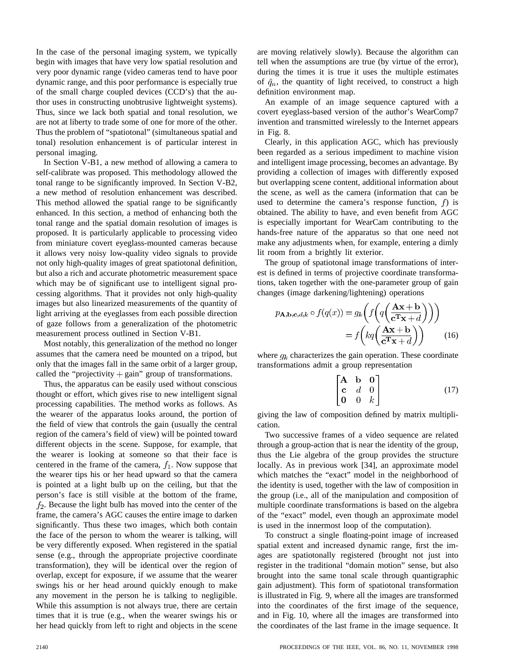In the case of the personal imaging system, we typically begin with images that have very low spatial resolution and very poor dynamic range (video cameras tend to have poor dynamic range, and this poor performance is especially true of the small charge coupled devices (CCD's) that the author uses in constructing unobtrusive lightweight systems). Thus, since we lack both spatial and tonal resolution, we are not at liberty to trade some of one for more of the other. Thus the problem of "spatiotonal" (simultaneous spatial and tonal) resolution enhancement is of particular interest in personal imaging.

In Section V-B1, a new method of allowing a camera to self-calibrate was proposed. This methodology allowed the tonal range to be significantly improved. In Section V-B2, a new method of resolution enhancement was described. This method allowed the spatial range to be significantly enhanced. In this section, a method of enhancing both the tonal range and the spatial domain resolution of images is proposed. It is particularly applicable to processing video from miniature covert eyeglass-mounted cameras because it allows very noisy low-quality video signals to provide not only high-quality images of great spatiotonal definition, but also a rich and accurate photometric measurement space which may be of significant use to intelligent signal processing algorithms. That it provides not only high-quality images but also linearized measurements of the quantity of light arriving at the eyeglasses from each possible direction of gaze follows from a generalization of the photometric measurement process outlined in Section V-B1.

Most notably, this generalization of the method no longer assumes that the camera need be mounted on a tripod, but only that the images fall in the same orbit of a larger group, called the "projectivity  $+$  gain" group of transformations.

Thus, the apparatus can be easily used without conscious thought or effort, which gives rise to new intelligent signal processing capabilities. The method works as follows. As the wearer of the apparatus looks around, the portion of the field of view that controls the gain (usually the central region of the camera's field of view) will be pointed toward different objects in the scene. Suppose, for example, that the wearer is looking at someone so that their face is centered in the frame of the camera,  $f_1$ . Now suppose that the wearer tips his or her head upward so that the camera is pointed at a light bulb up on the ceiling, but that the person's face is still visible at the bottom of the frame,  $f_2$ . Because the light bulb has moved into the center of the frame, the camera's AGC causes the entire image to darken significantly. Thus these two images, which both contain the face of the person to whom the wearer is talking, will be very differently exposed. When registered in the spatial sense (e.g., through the appropriate projective coordinate transformation), they will be identical over the region of overlap, except for exposure, if we assume that the wearer swings his or her head around quickly enough to make any movement in the person he is talking to negligible. While this assumption is not always true, there are certain times that it is true (e.g., when the wearer swings his or her head quickly from left to right and objects in the scene

are moving relatively slowly). Because the algorithm can tell when the assumptions are true (by virtue of the error), during the times it is true it uses the multiple estimates of  $\hat{q}_n$ , the quantity of light received, to construct a high definition environment map.

An example of an image sequence captured with a covert eyeglass-based version of the author's WearComp7 invention and transmitted wirelessly to the Internet appears in Fig. 8.

Clearly, in this application AGC, which has previously been regarded as a serious impediment to machine vision and intelligent image processing, becomes an advantage. By providing a collection of images with differently exposed but overlapping scene content, additional information about the scene, as well as the camera (information that can be used to determine the camera's response function,  $f$ ) is obtained. The ability to have, and even benefit from AGC is especially important for WearCam contributing to the hands-free nature of the apparatus so that one need not make any adjustments when, for example, entering a dimly lit room from a brightly lit exterior.

The group of spatiotonal image transformations of interest is defined in terms of projective coordinate transformations, taken together with the one-parameter group of gain changes (image darkening/lightening) operations

$$
p_{\mathbf{A},\mathbf{b},\mathbf{c},d,k} \circ f(q(x)) = g_k\left(f\left(q\left(\frac{\mathbf{Ax} + \mathbf{b}}{\mathbf{c}^{\mathbf{T}}\mathbf{x} + d}\right)\right)\right)
$$

$$
= f\left(kq\left(\frac{\mathbf{Ax} + \mathbf{b}}{\mathbf{c}^{\mathbf{T}}\mathbf{x} + d}\right)\right) \tag{16}
$$

where  $g_k$  characterizes the gain operation. These coordinate transformations admit a group representation

$$
\begin{bmatrix}\nA & b & 0 \\
c & d & 0 \\
0 & 0 & k\n\end{bmatrix}
$$
\n(17)

giving the law of composition defined by matrix multiplication.

Two successive frames of a video sequence are related through a group-action that is near the identity of the group, thus the Lie algebra of the group provides the structure locally. As in previous work [34], an approximate model which matches the "exact" model in the neighborhood of the identity is used, together with the law of composition in the group (i.e., all of the manipulation and composition of multiple coordinate transformations is based on the algebra of the "exact" model, even though an approximate model is used in the innermost loop of the computation).

To construct a single floating-point image of increased spatial extent and increased dynamic range, first the images are spatiotonally registered (brought not just into register in the traditional "domain motion" sense, but also brought into the same tonal scale through quantigraphic gain adjustment). This form of spatiotonal transformation is illustrated in Fig. 9, where all the images are transformed into the coordinates of the first image of the sequence, and in Fig. 10, where all the images are transformed into the coordinates of the last frame in the image sequence. It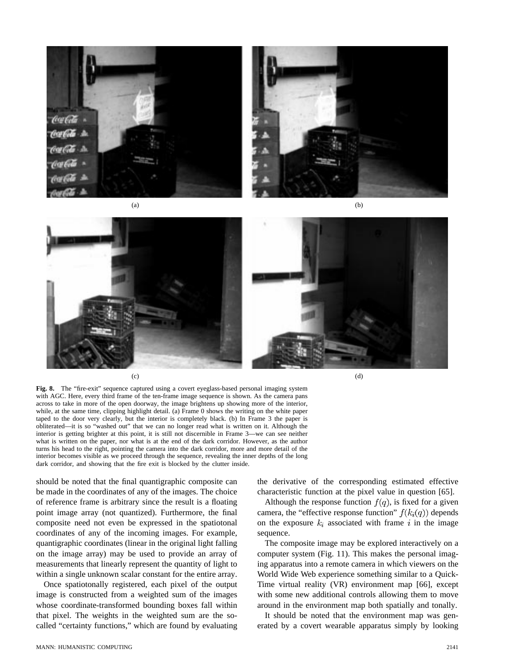



Fig. 8. The "fire-exit" sequence captured using a covert eyeglass-based personal imaging system with AGC. Here, every third frame of the ten-frame image sequence is shown. As the camera pans across to take in more of the open doorway, the image brightens up showing more of the interior, while, at the same time, clipping highlight detail. (a) Frame 0 shows the writing on the white paper taped to the door very clearly, but the interior is completely black. (b) In Frame 3 the paper is obliterated—it is so "washed out" that we can no longer read what is written on it. Although the interior is getting brighter at this point, it is still not discernible in Frame 3—we can see neither what is written on the paper, nor what is at the end of the dark corridor. However, as the author turns his head to the right, pointing the camera into the dark corridor, more and more detail of the interior becomes visible as we proceed through the sequence, revealing the inner depths of the long dark corridor, and showing that the fire exit is blocked by the clutter inside.

should be noted that the final quantigraphic composite can be made in the coordinates of any of the images. The choice of reference frame is arbitrary since the result is a floating point image array (not quantized). Furthermore, the final composite need not even be expressed in the spatiotonal coordinates of any of the incoming images. For example, quantigraphic coordinates (linear in the original light falling on the image array) may be used to provide an array of measurements that linearly represent the quantity of light to within a single unknown scalar constant for the entire array.

Once spatiotonally registered, each pixel of the output image is constructed from a weighted sum of the images whose coordinate-transformed bounding boxes fall within that pixel. The weights in the weighted sum are the socalled "certainty functions," which are found by evaluating the derivative of the corresponding estimated effective characteristic function at the pixel value in question [65].

Although the response function  $f(q)$ , is fixed for a given camera, the "effective response function"  $f(k_i(q))$  depends on the exposure  $k_i$  associated with frame i in the image sequence.

The composite image may be explored interactively on a computer system (Fig. 11). This makes the personal imaging apparatus into a remote camera in which viewers on the World Wide Web experience something similar to a Quick-Time virtual reality (VR) environment map [66], except with some new additional controls allowing them to move around in the environment map both spatially and tonally.

It should be noted that the environment map was generated by a covert wearable apparatus simply by looking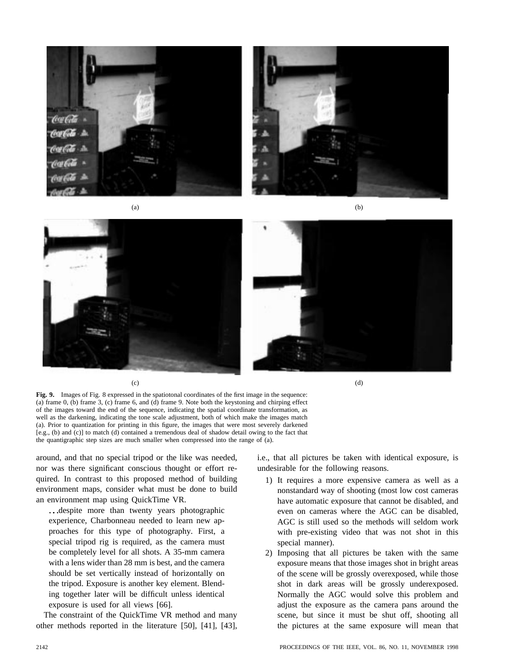![](_page_20_Picture_0.jpeg)

![](_page_20_Picture_2.jpeg)

![](_page_20_Picture_3.jpeg)

 $(c)$  (d)

**Fig. 9.** Images of Fig. 8 expressed in the spatiotonal coordinates of the first image in the sequence: (a) frame 0, (b) frame 3, (c) frame 6, and (d) frame 9. Note both the keystoning and chirping effect of the images toward the end of the sequence, indicating the spatial coordinate transformation, as well as the darkening, indicating the tone scale adjustment, both of which make the images match (a). Prior to quantization for printing in this figure, the images that were most severely darkened [e.g., (b) and (c)] to match (d) contained a tremendous deal of shadow detail owing to the fact that the quantigraphic step sizes are much smaller when compressed into the range of (a).

around, and that no special tripod or the like was needed, nor was there significant conscious thought or effort required. In contrast to this proposed method of building environment maps, consider what must be done to build an environment map using QuickTime VR.

... despite more than twenty years photographic experience, Charbonneau needed to learn new approaches for this type of photography. First, a special tripod rig is required, as the camera must be completely level for all shots. A 35-mm camera with a lens wider than 28 mm is best, and the camera should be set vertically instead of horizontally on the tripod. Exposure is another key element. Blending together later will be difficult unless identical exposure is used for all views [66].

The constraint of the QuickTime VR method and many other methods reported in the literature [50], [41], [43], i.e., that all pictures be taken with identical exposure, is undesirable for the following reasons.

- 1) It requires a more expensive camera as well as a nonstandard way of shooting (most low cost cameras have automatic exposure that cannot be disabled, and even on cameras where the AGC can be disabled, AGC is still used so the methods will seldom work with pre-existing video that was not shot in this special manner).
- 2) Imposing that all pictures be taken with the same exposure means that those images shot in bright areas of the scene will be grossly overexposed, while those shot in dark areas will be grossly underexposed. Normally the AGC would solve this problem and adjust the exposure as the camera pans around the scene, but since it must be shut off, shooting all the pictures at the same exposure will mean that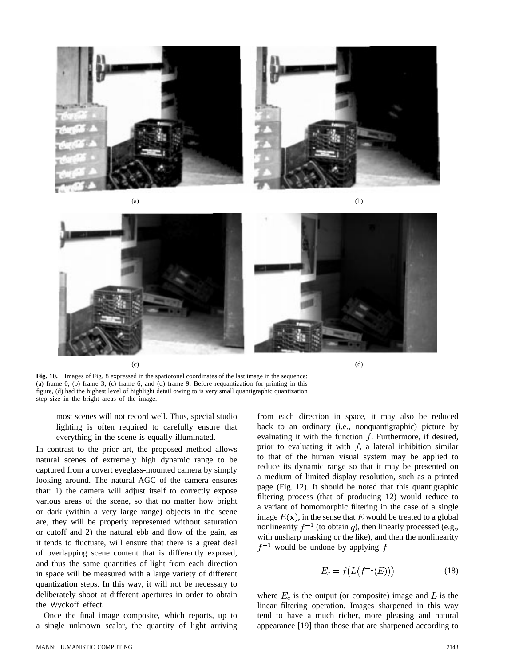![](_page_21_Picture_0.jpeg)

![](_page_21_Picture_1.jpeg)

 $(c)$  (d)

**Fig. 10.** Images of Fig. 8 expressed in the spatiotonal coordinates of the last image in the sequence: (a) frame 0, (b) frame 3, (c) frame 6, and (d) frame 9. Before requantization for printing in this figure, (d) had the highest level of highlight detail owing to is very small quantigraphic quantization step size in the bright areas of the image.

most scenes will not record well. Thus, special studio lighting is often required to carefully ensure that everything in the scene is equally illuminated.

In contrast to the prior art, the proposed method allows natural scenes of extremely high dynamic range to be captured from a covert eyeglass-mounted camera by simply looking around. The natural AGC of the camera ensures that: 1) the camera will adjust itself to correctly expose various areas of the scene, so that no matter how bright or dark (within a very large range) objects in the scene are, they will be properly represented without saturation or cutoff and 2) the natural ebb and flow of the gain, as it tends to fluctuate, will ensure that there is a great deal of overlapping scene content that is differently exposed, and thus the same quantities of light from each direction in space will be measured with a large variety of different quantization steps. In this way, it will not be necessary to deliberately shoot at different apertures in order to obtain the Wyckoff effect.

Once the final image composite, which reports, up to a single unknown scalar, the quantity of light arriving from each direction in space, it may also be reduced back to an ordinary (i.e., nonquantigraphic) picture by evaluating it with the function  $f$ . Furthermore, if desired, prior to evaluating it with  $f$ , a lateral inhibition similar to that of the human visual system may be applied to reduce its dynamic range so that it may be presented on a medium of limited display resolution, such as a printed page (Fig. 12). It should be noted that this quantigraphic filtering process (that of producing 12) would reduce to a variant of homomorphic filtering in the case of a single image  $E(\mathbf{x})$ , in the sense that E would be treated to a global nonlinearity  $f^{-1}$  (to obtain q), then linearly processed (e.g., with unsharp masking or the like), and then the nonlinearity  $f^{-1}$  would be undone by applying f

$$
E_c = f\big(L\big(f^{-1}(E)\big)\big) \tag{18}
$$

where  $E_c$  is the output (or composite) image and  $L$  is the linear filtering operation. Images sharpened in this way tend to have a much richer, more pleasing and natural appearance [19] than those that are sharpened according to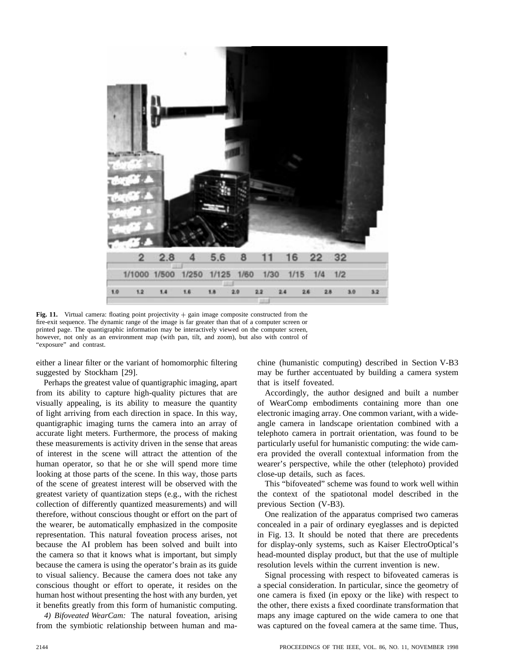![](_page_22_Picture_0.jpeg)

Fig. 11. Virtual camera: floating point projectivity + gain image composite constructed from the fire-exit sequence. The dynamic range of the image is far greater than that of a computer screen or printed page. The quantigraphic information may be interactively viewed on the computer screen, however, not only as an environment map (with pan, tilt, and zoom), but also with control of "exposure" and contrast.

either a linear filter or the variant of homomorphic filtering suggested by Stockham [29].

Perhaps the greatest value of quantigraphic imaging, apart from its ability to capture high-quality pictures that are visually appealing, is its ability to measure the quantity of light arriving from each direction in space. In this way, quantigraphic imaging turns the camera into an array of accurate light meters. Furthermore, the process of making these measurements is activity driven in the sense that areas of interest in the scene will attract the attention of the human operator, so that he or she will spend more time looking at those parts of the scene. In this way, those parts of the scene of greatest interest will be observed with the greatest variety of quantization steps (e.g., with the richest collection of differently quantized measurements) and will therefore, without conscious thought or effort on the part of the wearer, be automatically emphasized in the composite representation. This natural foveation process arises, not because the AI problem has been solved and built into the camera so that it knows what is important, but simply because the camera is using the operator's brain as its guide to visual saliency. Because the camera does not take any conscious thought or effort to operate, it resides on the human host without presenting the host with any burden, yet it benefits greatly from this form of humanistic computing.

*4) Bifoveated WearCam:* The natural foveation, arising from the symbiotic relationship between human and machine (humanistic computing) described in Section V-B3 may be further accentuated by building a camera system that is itself foveated.

Accordingly, the author designed and built a number of WearComp embodiments containing more than one electronic imaging array. One common variant, with a wideangle camera in landscape orientation combined with a telephoto camera in portrait orientation, was found to be particularly useful for humanistic computing: the wide camera provided the overall contextual information from the wearer's perspective, while the other (telephoto) provided close-up details, such as faces.

This "bifoveated" scheme was found to work well within the context of the spatiotonal model described in the previous Section (V-B3).

One realization of the apparatus comprised two cameras concealed in a pair of ordinary eyeglasses and is depicted in Fig. 13. It should be noted that there are precedents for display-only systems, such as Kaiser ElectroOptical's head-mounted display product, but that the use of multiple resolution levels within the current invention is new.

Signal processing with respect to bifoveated cameras is a special consideration. In particular, since the geometry of one camera is fixed (in epoxy or the like) with respect to the other, there exists a fixed coordinate transformation that maps any image captured on the wide camera to one that was captured on the foveal camera at the same time. Thus,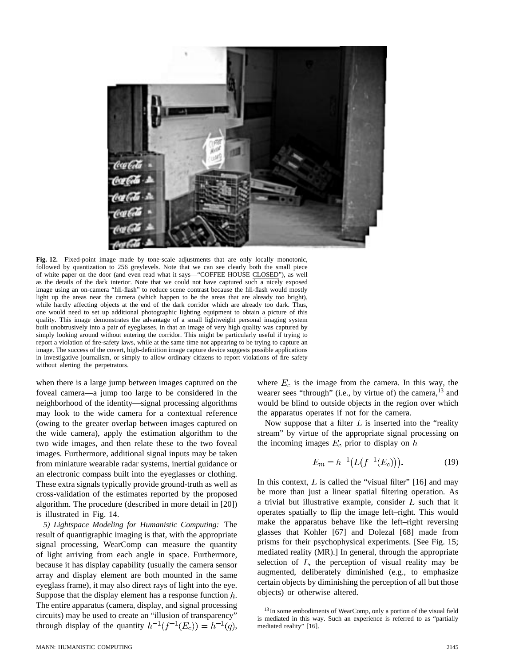![](_page_23_Picture_0.jpeg)

**Fig. 12.** Fixed-point image made by tone-scale adjustments that are only locally monotonic, followed by quantization to 256 greylevels. Note that we can see clearly both the small piece of white paper on the door (and even read what it says—"COFFEE HOUSE CLOSED"), as well as the details of the dark interior. Note that we could not have captured such a nicely exposed image using an on-camera "fill-flash" to reduce scene contrast because the fill-flash would mostly light up the areas near the camera (which happen to be the areas that are already too bright), while hardly affecting objects at the end of the dark corridor which are already too dark. Thus, one would need to set up additional photographic lighting equipment to obtain a picture of this quality. This image demonstrates the advantage of a small lightweight personal imaging system built unobtrusively into a pair of eyeglasses, in that an image of very high quality was captured by simply looking around without entering the corridor. This might be particularly useful if trying to report a violation of fire-safety laws, while at the same time not appearing to be trying to capture an image. The success of the covert, high-definition image capture device suggests possible applications in investigative journalism, or simply to allow ordinary citizens to report violations of fire safety without alerting the perpetrators.

when there is a large jump between images captured on the foveal camera—a jump too large to be considered in the neighborhood of the identity—signal processing algorithms may look to the wide camera for a contextual reference (owing to the greater overlap between images captured on the wide camera), apply the estimation algorithm to the two wide images, and then relate these to the two foveal images. Furthermore, additional signal inputs may be taken from miniature wearable radar systems, inertial guidance or an electronic compass built into the eyeglasses or clothing. These extra signals typically provide ground-truth as well as cross-validation of the estimates reported by the proposed algorithm. The procedure (described in more detail in [20]) is illustrated in Fig. 14.

*5) Lightspace Modeling for Humanistic Computing:* The result of quantigraphic imaging is that, with the appropriate signal processing, WearComp can measure the quantity of light arriving from each angle in space. Furthermore, because it has display capability (usually the camera sensor array and display element are both mounted in the same eyeglass frame), it may also direct rays of light into the eye. Suppose that the display element has a response function  $h$ . The entire apparatus (camera, display, and signal processing circuits) may be used to create an "illusion of transparency" through display of the quantity  $h^{-1}(f^{-1}(E_c)) = h^{-1}(q)$ ,

where  $E_c$  is the image from the camera. In this way, the wearer sees "through" (i.e., by virtue of) the camera, $^{13}$  and would be blind to outside objects in the region over which the apparatus operates if not for the camera.

Now suppose that a filter  $L$  is inserted into the "reality" stream" by virtue of the appropriate signal processing on the incoming images  $E_c$  prior to display on  $h$ 

$$
E_m = h^{-1}(L(f^{-1}(E_c))).
$$
 (19)

In this context,  $L$  is called the "visual filter" [16] and may be more than just a linear spatial filtering operation. As a trivial but illustrative example, consider  $L$  such that it operates spatially to flip the image left–right. This would make the apparatus behave like the left–right reversing glasses that Kohler [67] and Dolezal [68] made from prisms for their psychophysical experiments. [See Fig. 15; mediated reality (MR).] In general, through the appropriate selection of  $L$ , the perception of visual reality may be augmented, deliberately diminished (e.g., to emphasize certain objects by diminishing the perception of all but those objects) or otherwise altered.

<sup>&</sup>lt;sup>13</sup> In some embodiments of WearComp, only a portion of the visual field is mediated in this way. Such an experience is referred to as "partially mediated reality" [16].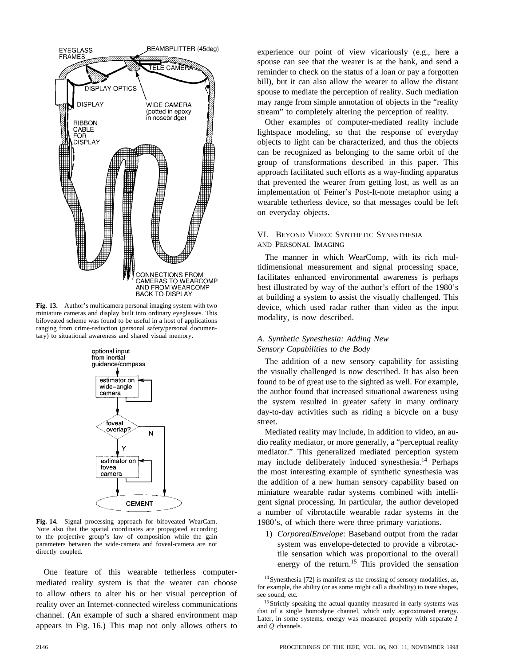![](_page_24_Figure_0.jpeg)

**Fig. 13.** Author's multicamera personal imaging system with two miniature cameras and display built into ordinary eyeglasses. This bifoveated scheme was found to be useful in a host of applications ranging from crime-reduction (personal safety/personal documentary) to situational awareness and shared visual memory.

![](_page_24_Figure_2.jpeg)

**Fig. 14.** Signal processing approach for bifoveated WearCam. Note also that the spatial coordinates are propagated according to the projective group's law of composition while the gain parameters between the wide-camera and foveal-camera are not directly coupled.

One feature of this wearable tetherless computermediated reality system is that the wearer can choose to allow others to alter his or her visual perception of reality over an Internet-connected wireless communications channel. (An example of such a shared environment map appears in Fig. 16.) This map not only allows others to experience our point of view vicariously (e.g., here a spouse can see that the wearer is at the bank, and send a reminder to check on the status of a loan or pay a forgotten bill), but it can also allow the wearer to allow the distant spouse to mediate the perception of reality. Such mediation may range from simple annotation of objects in the "reality stream" to completely altering the perception of reality.

Other examples of computer-mediated reality include lightspace modeling, so that the response of everyday objects to light can be characterized, and thus the objects can be recognized as belonging to the same orbit of the group of transformations described in this paper. This approach facilitated such efforts as a way-finding apparatus that prevented the wearer from getting lost, as well as an implementation of Feiner's Post-It-note metaphor using a wearable tetherless device, so that messages could be left on everyday objects.

## VI. BEYOND VIDEO: SYNTHETIC SYNESTHESIA AND PERSONAL IMAGING

The manner in which WearComp, with its rich multidimensional measurement and signal processing space, facilitates enhanced environmental awareness is perhaps best illustrated by way of the author's effort of the 1980's at building a system to assist the visually challenged. This device, which used radar rather than video as the input modality, is now described.

## *A. Synthetic Synesthesia: Adding New Sensory Capabilities to the Body*

The addition of a new sensory capability for assisting the visually challenged is now described. It has also been found to be of great use to the sighted as well. For example, the author found that increased situational awareness using the system resulted in greater safety in many ordinary day-to-day activities such as riding a bicycle on a busy street.

Mediated reality may include, in addition to video, an audio reality mediator, or more generally, a "perceptual reality mediator." This generalized mediated perception system may include deliberately induced synesthesia.<sup>14</sup> Perhaps the most interesting example of synthetic synesthesia was the addition of a new human sensory capability based on miniature wearable radar systems combined with intelligent signal processing. In particular, the author developed a number of vibrotactile wearable radar systems in the 1980's, of which there were three primary variations.

1) *CorporealEnvelope*: Baseband output from the radar system was envelope-detected to provide a vibrotactile sensation which was proportional to the overall energy of the return.<sup>15</sup> This provided the sensation

<sup>14</sup>Synesthesia [72] is manifest as the crossing of sensory modalities, as, for example, the ability (or as some might call a disability) to taste shapes, see sound, etc.

<sup>&</sup>lt;sup>15</sup> Strictly speaking the actual quantity measured in early systems was that of a single homodyne channel, which only approximated energy. Later, in some systems, energy was measured properly with separate I and Q channels.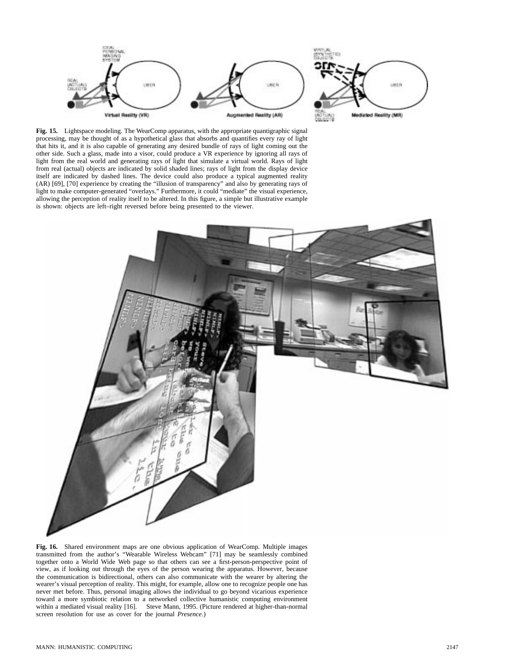![](_page_25_Figure_0.jpeg)

**Fig. 15.** Lightspace modeling. The WearComp apparatus, with the appropriate quantigraphic signal processing, may be thought of as a hypothetical glass that absorbs and quantifies every ray of light that hits it, and it is also capable of generating any desired bundle of rays of light coming out the other side. Such a glass, made into a visor, could produce a VR experience by ignoring all rays of light from the real world and generating rays of light that simulate a virtual world. Rays of light from real (actual) objects are indicated by solid shaded lines; rays of light from the display device itself are indicated by dashed lines. The device could also produce a typical augmented reality (AR) [69], [70] experience by creating the "illusion of transparency" and also by generating rays of light to make computer-generated "overlays." Furthermore, it could "mediate" the visual experience, allowing the perception of reality itself to be altered. In this figure, a simple but illustrative example is shown: objects are left–right reversed before being presented to the viewer.

![](_page_25_Picture_2.jpeg)

**Fig. 16.** Shared environment maps are one obvious application of WearComp. Multiple images transmitted from the author's "Wearable Wireless Webcam" [71] may be seamlessly combined together onto a World Wide Web page so that others can see a first-person-perspective point of view, as if looking out through the eyes of the person wearing the apparatus. However, because the communication is bidirectional, others can also communicate with the wearer by altering the wearer's visual perception of reality. This might, for example, allow one to recognize people one has never met before. Thus, personal imaging allows the individual to go beyond vicarious experience toward a more symbiotic relation to a networked collective humanistic computing environment within a mediated visual reality [16]. © Steve Mann, 1995. (Picture rendered at higher-than-normal screen resolution for use as cover for the journal *Presence*.)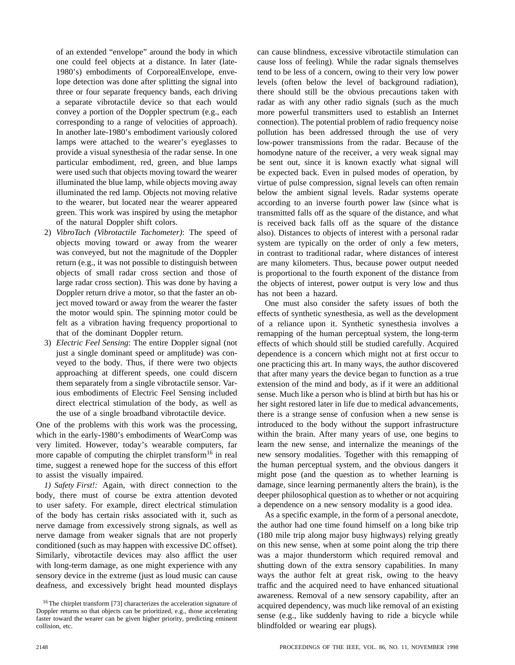of an extended "envelope" around the body in which one could feel objects at a distance. In later (late-1980's) embodiments of CorporealEnvelope, envelope detection was done after splitting the signal into three or four separate frequency bands, each driving a separate vibrotactile device so that each would convey a portion of the Doppler spectrum (e.g., each corresponding to a range of velocities of approach). In another late-1980's embodiment variously colored lamps were attached to the wearer's eyeglasses to provide a visual synesthesia of the radar sense. In one particular embodiment, red, green, and blue lamps were used such that objects moving toward the wearer illuminated the blue lamp, while objects moving away illuminated the red lamp. Objects not moving relative to the wearer, but located near the wearer appeared green. This work was inspired by using the metaphor of the natural Doppler shift colors.

- 2) *VibroTach (Vibrotactile Tachometer)*: The speed of objects moving toward or away from the wearer was conveyed, but not the magnitude of the Doppler return (e.g., it was not possible to distinguish between objects of small radar cross section and those of large radar cross section). This was done by having a Doppler return drive a motor, so that the faster an object moved toward or away from the wearer the faster the motor would spin. The spinning motor could be felt as a vibration having frequency proportional to that of the dominant Doppler return.
- 3) *Electric Feel Sensing*: The entire Doppler signal (not just a single dominant speed or amplitude) was conveyed to the body. Thus, if there were two objects approaching at different speeds, one could discern them separately from a single vibrotactile sensor. Various embodiments of Electric Feel Sensing included direct electrical stimulation of the body, as well as the use of a single broadband vibrotactile device.

One of the problems with this work was the processing, which in the early-1980's embodiments of WearComp was very limited. However, today's wearable computers, far more capable of computing the chirplet transform<sup>16</sup> in real time, suggest a renewed hope for the success of this effort to assist the visually impaired.

*1) Safety First!:* Again, with direct connection to the body, there must of course be extra attention devoted to user safety. For example, direct electrical stimulation of the body has certain risks associated with it, such as nerve damage from excessively strong signals, as well as nerve damage from weaker signals that are not properly conditioned (such as may happen with excessive DC offset). Similarly, vibrotactile devices may also afflict the user with long-term damage, as one might experience with any sensory device in the extreme (just as loud music can cause deafness, and excessively bright head mounted displays can cause blindness, excessive vibrotactile stimulation can cause loss of feeling). While the radar signals themselves tend to be less of a concern, owing to their very low power levels (often below the level of background radiation), there should still be the obvious precautions taken with radar as with any other radio signals (such as the much more powerful transmitters used to establish an Internet connection). The potential problem of radio frequency noise pollution has been addressed through the use of very low-power transmissions from the radar. Because of the homodyne nature of the receiver, a very weak signal may be sent out, since it is known exactly what signal will be expected back. Even in pulsed modes of operation, by virtue of pulse compression, signal levels can often remain below the ambient signal levels. Radar systems operate according to an inverse fourth power law (since what is transmitted falls off as the square of the distance, and what is received back falls off as the square of the distance also). Distances to objects of interest with a personal radar system are typically on the order of only a few meters, in contrast to traditional radar, where distances of interest are many kilometers. Thus, because power output needed is proportional to the fourth exponent of the distance from the objects of interest, power output is very low and thus has not been a hazard.

One must also consider the safety issues of both the effects of synthetic synesthesia, as well as the development of a reliance upon it. Synthetic synesthesia involves a remapping of the human perceptual system, the long-term effects of which should still be studied carefully. Acquired dependence is a concern which might not at first occur to one practicing this art. In many ways, the author discovered that after many years the device began to function as a true extension of the mind and body, as if it were an additional sense. Much like a person who is blind at birth but has his or her sight restored later in life due to medical advancements, there is a strange sense of confusion when a new sense is introduced to the body without the support infrastructure within the brain. After many years of use, one begins to learn the new sense, and internalize the meanings of the new sensory modalities. Together with this remapping of the human perceptual system, and the obvious dangers it might pose (and the question as to whether learning is damage, since learning permanently alters the brain), is the deeper philosophical question as to whether or not acquiring a dependence on a new sensory modality is a good idea.

As a specific example, in the form of a personal anecdote, the author had one time found himself on a long bike trip (180 mile trip along major busy highways) relying greatly on this new sense, when at some point along the trip there was a major thunderstorm which required removal and shutting down of the extra sensory capabilities. In many ways the author felt at great risk, owing to the heavy traffic and the acquired need to have enhanced situational awareness. Removal of a new sensory capability, after an acquired dependency, was much like removal of an existing sense (e.g., like suddenly having to ride a bicycle while blindfolded or wearing ear plugs).

 $16$ The chirplet transform [73] characterizes the acceleration signature of Doppler returns so that objects can be prioritized, e.g., those accelerating faster toward the wearer can be given higher priority, predicting eminent collision, etc.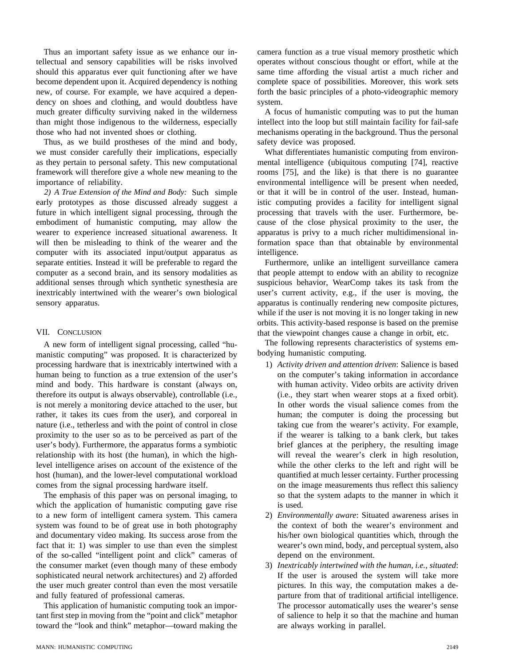Thus an important safety issue as we enhance our intellectual and sensory capabilities will be risks involved should this apparatus ever quit functioning after we have become dependent upon it. Acquired dependency is nothing new, of course. For example, we have acquired a dependency on shoes and clothing, and would doubtless have much greater difficulty surviving naked in the wilderness than might those indigenous to the wilderness, especially those who had not invented shoes or clothing.

Thus, as we build prostheses of the mind and body, we must consider carefully their implications, especially as they pertain to personal safety. This new computational framework will therefore give a whole new meaning to the importance of reliability.

*2) A True Extension of the Mind and Body:* Such simple early prototypes as those discussed already suggest a future in which intelligent signal processing, through the embodiment of humanistic computing, may allow the wearer to experience increased situational awareness. It will then be misleading to think of the wearer and the computer with its associated input/output apparatus as separate entities. Instead it will be preferable to regard the computer as a second brain, and its sensory modalities as additional senses through which synthetic synesthesia are inextricably intertwined with the wearer's own biological sensory apparatus.

## VII. CONCLUSION

A new form of intelligent signal processing, called "humanistic computing" was proposed. It is characterized by processing hardware that is inextricably intertwined with a human being to function as a true extension of the user's mind and body. This hardware is constant (always on, therefore its output is always observable), controllable (i.e., is not merely a monitoring device attached to the user, but rather, it takes its cues from the user), and corporeal in nature (i.e., tetherless and with the point of control in close proximity to the user so as to be perceived as part of the user's body). Furthermore, the apparatus forms a symbiotic relationship with its host (the human), in which the highlevel intelligence arises on account of the existence of the host (human), and the lower-level computational workload comes from the signal processing hardware itself.

The emphasis of this paper was on personal imaging, to which the application of humanistic computing gave rise to a new form of intelligent camera system. This camera system was found to be of great use in both photography and documentary video making. Its success arose from the fact that it: 1) was simpler to use than even the simplest of the so-called "intelligent point and click" cameras of the consumer market (even though many of these embody sophisticated neural network architectures) and 2) afforded the user much greater control than even the most versatile and fully featured of professional cameras.

This application of humanistic computing took an important first step in moving from the "point and click" metaphor toward the "look and think" metaphor—toward making the

A focus of humanistic computing was to put the human intellect into the loop but still maintain facility for fail-safe mechanisms operating in the background. Thus the personal safety device was proposed.

What differentiates humanistic computing from environmental intelligence (ubiquitous computing [74], reactive rooms [75], and the like) is that there is no guarantee environmental intelligence will be present when needed, or that it will be in control of the user. Instead, humanistic computing provides a facility for intelligent signal processing that travels with the user. Furthermore, because of the close physical proximity to the user, the apparatus is privy to a much richer multidimensional information space than that obtainable by environmental intelligence.

Furthermore, unlike an intelligent surveillance camera that people attempt to endow with an ability to recognize suspicious behavior, WearComp takes its task from the user's current activity, e.g., if the user is moving, the apparatus is continually rendering new composite pictures, while if the user is not moving it is no longer taking in new orbits. This activity-based response is based on the premise that the viewpoint changes cause a change in orbit, etc.

The following represents characteristics of systems embodying humanistic computing.

- 1) *Activity driven and attention driven*: Salience is based on the computer's taking information in accordance with human activity. Video orbits are activity driven (i.e., they start when wearer stops at a fixed orbit). In other words the visual salience comes from the human; the computer is doing the processing but taking cue from the wearer's activity. For example, if the wearer is talking to a bank clerk, but takes brief glances at the periphery, the resulting image will reveal the wearer's clerk in high resolution, while the other clerks to the left and right will be quantified at much lesser certainty. Further processing on the image measurements thus reflect this saliency so that the system adapts to the manner in which it is used.
- 2) *Environmentally aware*: Situated awareness arises in the context of both the wearer's environment and his/her own biological quantities which, through the wearer's own mind, body, and perceptual system, also depend on the environment.
- 3) *Inextricably intertwined with the human, i.e., situated*: If the user is aroused the system will take more pictures. In this way, the computation makes a departure from that of traditional artificial intelligence. The processor automatically uses the wearer's sense of salience to help it so that the machine and human are always working in parallel.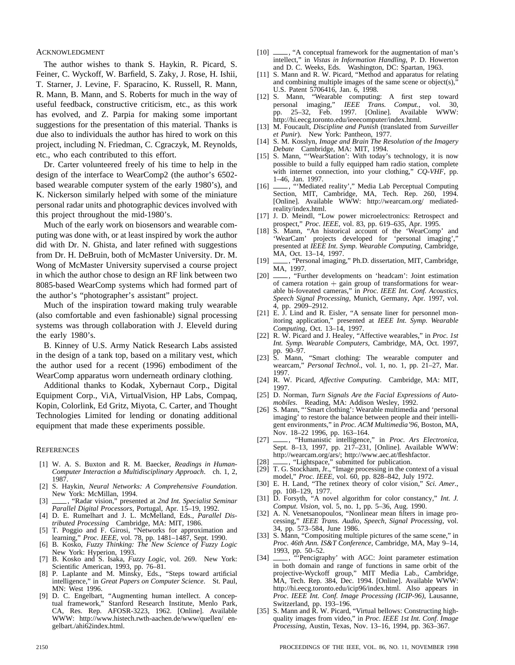#### ACKNOWLEDGMENT

The author wishes to thank S. Haykin, R. Picard, S. Feiner, C. Wyckoff, W. Barfield, S. Zaky, J. Rose, H. Ishii, T. Starner, J. Levine, F. Sparacino, K. Russell, R. Mann, R. Mann, B. Mann, and S. Roberts for much in the way of useful feedback, constructive criticism, etc., as this work has evolved, and Z. Parpia for making some important suggestions for the presentation of this material. Thanks is due also to individuals the author has hired to work on this project, including N. Friedman, C. Cgraczyk, M. Reynolds, etc., who each contributed to this effort.

Dr. Carter volunteered freely of his time to help in the design of the interface to WearComp2 (the author's 6502 based wearable computer system of the early 1980's), and K. Nickerson similarly helped with some of the miniature personal radar units and photographic devices involved with this project throughout the mid-1980's.

Much of the early work on biosensors and wearable computing was done with, or at least inspired by work the author did with Dr. N. Ghista, and later refined with suggestions from Dr. H. DeBruin, both of McMaster University. Dr. M. Wong of McMaster University supervised a course project in which the author chose to design an RF link between two 8085-based WearComp systems which had formed part of the author's "photographer's assistant" project.

Much of the inspiration toward making truly wearable (also comfortable and even fashionable) signal processing systems was through collaboration with J. Eleveld during the early 1980's.

B. Kinney of U.S. Army Natick Research Labs assisted in the design of a tank top, based on a military vest, which the author used for a recent (1996) embodiment of the WearComp apparatus worn underneath ordinary clothing.

Additional thanks to Kodak, Xybernaut Corp., Digital Equipment Corp., ViA, VirtualVision, HP Labs, Compaq, Kopin, Colorlink, Ed Gritz, Miyota, C. Carter, and Thought Technologies Limited for lending or donating additional equipment that made these experiments possible.

#### **REFERENCES**

- [1] W. A. S. Buxton and R. M. Baecker, *Readings in Human-Computer Interaction a Multidisciplinary Approach*. ch. 1, 2, 1987.
- [2] S. Haykin, *Neural Networks: A Comprehensive Foundation*. New York: McMillan, 1994.
- [3] , "Radar vision," presented at *2nd Int. Specialist Seminar Parallel Digital Processors*, Portugal, Apr. 15–19, 1992.
- [4] D. E. Rumelhart and J. L. McMelland, Eds., *Parallel Distributed Processing* Cambridge, MA: MIT, 1986.
- [5] T. Poggio and F. Girosi, "Networks for approximation and learning," *Proc. IEEE*, vol. 78, pp. 1481–1487, Sept. 1990.
- [6] B. Kosko, *Fuzzy Thinking: The New Science of Fuzzy Logic* New York: Hyperion, 1993.
- [7] B. Kosko and S. Isaka, *Fuzzy Logic*, vol. 269. New York: Scientific American, 1993, pp. 76–81.
- [8] P. Laplante and M. Minsky, Eds., "Steps toward artificial intelligence," in *Great Papers on Computer Science*. St. Paul, MN: West 1996.
- [9] D. C. Engelbart, "Augmenting human intellect. A conceptual framework," Stanford Research Institute, Menlo Park, CA, Res. Rep. AFOSR-3223, 1962. [Online]. Available WWW: http://www.histech.rwth-aachen.de/www/quellen/ engelbart./ahi62index.html.
- [10]  $\_\_\_\$ , "A conceptual framework for the augmentation of man's intellect," in *Vistas in Information Handling*, P. D. Howerton and D. C. Weeks, Eds. Washington, DC: Spartan, 1963.
- [11] S. Mann and R. W. Picard, "Method and apparatus for relating and combining multiple images of the same scene or object(s), $\ddot{\cdot}$ U.S. Patent 5706416, Jan. 6, 1998.
- [12] S. Mann, "Wearable computing: A first step toward personal imaging," IEEE Trans. Comput., vol. 30, *IEEE Trans. Comput.*, vol. 30, 1997. [Online]. Available WWW: pp. 25–32, Feb. 1997. [Online]. Available http://hi.eecg.toronto.edu/ieeecomputer/index.html.
- [13] M. Foucault, *Discipline and Punish* (translated from *Surveiller et Punir*). New York: Pantheon, 1977.
- [14] S. M. Kosslyn, *Image and Brain The Resolution of the Imagery Debate* Cambridge, MA: MIT, 1994.
- [15] S. Mann, "'WearStation': With today's technology, it is now possible to build a fully equipped ham radio station, complete with internet connection, into your clothing," *CQ-VHF*, pp. 1–46, Jan. 1997.
- [16]  $\_\_\_\$ , "'Mediated reality'," Media Lab Perceptual Computing Section, MIT, Cambridge, MA, Tech. Rep. 260, 1994. [Online]. Available WWW: http://wearcam.org/ mediatedreality/index.html.
- [17] J. D. Meindl, "Low power microelectronics: Retrospect and prospect," *Proc. IEEE*, vol. 83, pp. 619–635, Apr. 1995.
- [18] S. Mann, "An historical account of the 'WearComp' and 'WearCam' projects developed for 'personal imaging', presented at *IEEE Int. Symp. Wearable Computing*, Cambridge, MA, Oct. 13–14, 1997.
- [19]  $\_\_\$ , "Personal imaging," Ph.D. dissertation, MIT, Cambridge, MA, 1997.
- [20]  $\_\_\_\$ , "Further developments on 'headcam': Joint estimation of camera rotation  $+$  gain group of transformations for wearable bi-foveated cameras," in *Proc. IEEE Int. Conf. Acoustics, Speech Signal Processing*, Munich, Germany, Apr. 1997, vol. 4, pp. 2909–2912.
- [21] E. J. Lind and R. Eisler, "A sensate liner for personnel monitoring application," presented at *IEEE Int. Symp. Wearable Computing*, Oct. 13–14, 1997.
- [22] R. W. Picard and J. Healey, "Affective wearables," in *Proc. 1st Int. Symp. Wearable Computers*, Cambridge, MA, Oct. 1997, pp. 90–97.
- [23] S. Mann, "Smart clothing: The wearable computer and wearcam," *Personal Technol.*, vol. 1, no. 1, pp. 21–27, Mar. 1997.
- [24] R. W. Picard, *Affective Computing*. Cambridge, MA: MIT, 1997.
- [25] D. Norman, *Turn Signals Are the Facial Expressions of Automobiles*. Reading, MA: Addison Wesley, 1992.
- [26] S. Mann, "'Smart clothing': Wearable multimedia and 'personal imaging' to restore the balance between people and their intelligent environments," in *Proc. ACM Multimedia'96*, Boston, MA, Nov. 18–22 1996, pp. 163–164.
- [27] , "Humanistic intelligence," in *Proc. Ars Electronica*, Sept. 8–13, 1997, pp. 217–231, [Online]. Available WWW: http://wearcam.org/ars/; http://www.aec.at/fleshfactor.
- [28]  $\_\_$ , "Lightspace," submitted for publication.
- [29] T. G. Stockham, Jr., "Image processing in the context of a visual model," *Proc. IEEE*, vol. 60, pp. 828–842, July 1972.
- [30] E. H. Land, "The retinex theory of color vision," *Sci. Amer.*, pp. 108–129, 1977.
- [31] D. Forsyth, "A novel algorithm for color constancy," *Int. J. Comput. Vision*, vol. 5, no. 1, pp. 5–36, Aug. 1990.
- [32] A. N. Venetsanopoulos, "Nonlinear mean filters in image processing," *IEEE Trans. Audio, Speech, Signal Processing*, vol. 34, pp. 573–584, June 1986.
- [33] S. Mann, "Compositing multiple pictures of the same scene," in *Proc. 46th Ann. IS&T Conference*, Cambridge, MA, May 9–14, 1993, pp. 50–52.
- [34] \_\_\_, "Pencigraphy' with AGC: Joint parameter estimation in both domain and range of functions in same orbit of the projective-Wyckoff group," MIT Media Lab., Cambridge, MA, Tech. Rep. 384, Dec. 1994. [Online]. Available WWW: http://hi.eecg.toronto.edu/icip96/index.html. Also appears in *Proc. IEEE Int. Conf. Image Processing (ICIP-96)*, Lausanne, Switzerland, pp. 193–196.
- [35] S. Mann and R. W. Picard, "Virtual bellows: Constructing highquality images from video," in *Proc. IEEE 1st Int. Conf. Image Processing*, Austin, Texas, Nov. 13–16, 1994, pp. 363–367.